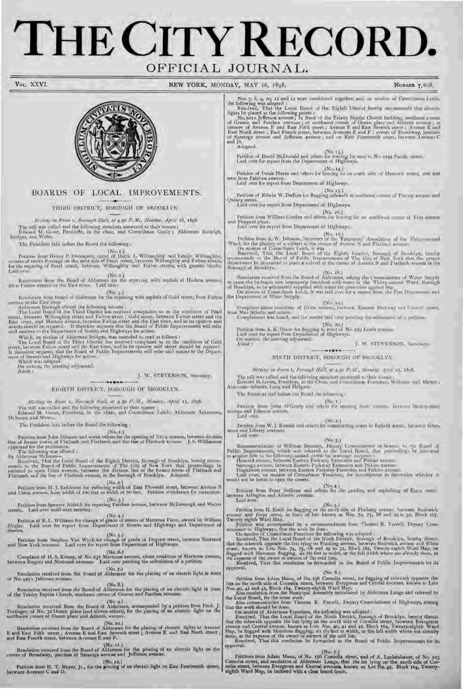# **THE CITY RECORD.**  OFFICIAL JOURNAL.



### BOARDS OF LOCAL IMPROVEMENTS.

THIRD DISTRICT, BOROUGH OF BROOKLYN.

*leding in Room 1, Borough Hall, at 4.30 P.M., Monday, April 18, 1898.* The roll was called and the following members answered to their names Edward M. Grout, Presideht, in the chair, and Councilman Conly ; Aldermen Btrrieigh, Bridges, and Wafer.

The President laid before the Board the tollowing :

(No. t.)<br>Tentrion from Henry P. Descenport, agent of Hugh L. Willoughby and Estable Willoughby,<br>on ners of entire frontage on the west aide of Pearl street, between Willoughby and Fulton streets,<br>for the reparing of Pearl

Laid over.<br>
(No. 2.) Resolution from the Board of Aldermen for the repaving with asphalt of Hudson avenue, from Fulton avenue to the East rives. Laid over.

(No. *3.)*  Resolution from Board of Aldermen for the repaving with asphalt of Gold street, from Fulton

Atternma Barleigh offered the following minute ;<br>
Atternma Barleigh offered the following minute ;<br>
The Local Doard of the Third District has reactived complaints as to the condition of Pearl<br>
street, between Tutton street

Which, on motion of Alderman Bridges, was amended to read as follows :<br>The Local Board of the Third Unatriet has received complaint as to the condition of Gold<br>street, between Fullon street and the East river, and in its o

### Attest :  $\mathbf{J}$ . W. STEVENSON, Secretary.

EIGHTH DISTRICT, IDROUGH OF BROOKLYN.

....

*1l,li,o, in Rim i, f3,,ron,Ir /Tall, at* 4.30 P. Al., *atnndrr, April II, 1898.* 

The roll was called and the following answered to their names ;<br>Edward M. Grout, Prostdent, in the chair, and Councilman Leich; Aldermen Ackerman, McInnes, and Wentz.

The President laid before the Board the following :

 $\begin{array}{c} \textbf{(No, t.)} \\ \textbf{We can an from John Dilinear and seven others for the opening of Ufix average, between division line at former terms of I\dots has and I\dots has a J-dual and I\dots has a set for the of I\dots has a result for the performance. \\ \textbf{(No, t.)} \\ \textbf{Two Milinear was of period)} \\ \textbf{Two Milinear was of period} \\ \textbf{Two M linearly generated} \\ \textbf{Two M linearly generated} \\ \textbf{Two M linearly generated} \\ \textbf{Two M linearly generated} \\ \textbf{Two M linearly generated} \\ \textbf{Two M linearly generated} \\ \textbf{Two M linearly generated} \\ \textbf{Two M linearly generated} \\ \textbf{Two M linearly generated} \\ \textbf{Two M linear$ 

memb, to the Board of Public Improvements of The City of New York that proceedings be<br>initiated to open Utica avenue, between the division line of the former towns of Flatbush and<br>Flatlands and the line of Flatbush sygnes,

(No. 2.) Petition from I1. J. Robinson for reducing width of East Eleventh street, between Avenue B and Caton avenue, from width of *too* feet to width of 6o feet. Petition withdrawn for correction.

(No. 3.) Petition from Spencer Aldrich for repaving Patchen avenue, between McDonough and Macon streets. laid over until next meeting.

(No. 4. ) Petition of R. L. Williams for change of grade of streets of Martense Farm, owned by William Ziegler. Laid over for report from Department of Streets and Highways and Department of Sewers.

(No. *5.)*  Petition from Stephen Van Wyck for change of grade of Degraw street, between Nostrand and New Vork avenues. Laid over for report from Department of Highways.

(No.6.)<br>Complaint of H. S. Kenny, of No.232 Martense avenue, about condition of Martense avenue,<br>between Rogers and Nostrand avenues. Laid over pending the submission of a petition.

No. 7.) Resolution received from the Board of Aldermen for the placing of an electric light in front of No. 921A Jetterson avenue.

(No. 8.)<br>Resolution received from the Board of Aldermen for the placing of an electric light in front<br>of the Trinity Baptist Church, southeast corner of Greene and Patchen avenues.

(No. *9.)*  Resolution received from the Board of Aldermen, accompanied by a petition from Fred. J.<br>Puttinger, of No. 32 Ocean place (and eleven others), for the placing of an electric light on the<br>northwest corner of Ocean place and

(No. 10.)<br>Resolution received from the Board of Aldermen for the placing of electric lights at Avenue<br>E and East Fifth street ; Avenue E and East Seventh street ; Avenue E and East Ninth street ; and East Fourth street, between Avenues E and F.

(No. *it.)*  Resolution received from the Board of Aldermen for the placing of an electric light on the corner of Broadway, junction of Saratoga avenue and Jefferson avenue.

(No. 12.) Petition from H. T. Meyer, Jr., for the placing of an electric light on East Fourteenth street, between Avenues C and D.

VOL. XXVI. NEW YORK, MONDAY, MAY 16, 1898. NUMBER 7, 608. Nox 7, 5, 9, 10, 11 and 12 were reasolated together, and, an motion of Councilman Leich, the following was adopted:<br>Resulted: That the Local Fourd of the Eighth District hereby recommends that clientic<br>lights be placed at Adopted. (No. *'3.)*  Petition of David McDouald and others for fencing lot next to No. *2244* Pacific street. laid over for report from the Department of IIighways. Petition of Denis Hayes and others for fencing lot on south side of Hancock street, 200 feet west from Patchen avenue.<br>Laid over for report from Department of Highways. (No. *15. )*  Petition of Edwin W. DuBois for flagging sidewalk at southeast corner of Throop avenue and Quincy street. Laid over for report from Department of highways. (No. s6.) petition from William Gorden and others for fencing lot on southwest corner of Troy avenue and Prospect place. Laid over for report from Department of highways. (No. 17.)<br>
Ward, for the placking of Landwin Sacremey of the Taxpayers' Association of the Three-cond<br>
Ward, for the placking of a cultural at the current of Avenue N and Plathast avenue,<br>
On motion of Councilman Leich, i Borough of Brooklyn.<br>
Resolution received from the Board of Aldermon, asking the Commissioner of Water Sapply<br>
to cause the hydrants now improperly formished with water in the Thirty-second Ward, Borough<br>
of Brooklyn, to b (No. *t9.)*  Complaint about con lition of Utica avenue, between Eastern Parkway and Carroll street, from 'Max Schultz and others. Complainant was heard, and the matter laid over pending the submission of a petition. (No. *20.)*  petition from A. K. Dixon for flagging in front of No. *229* Lewis avenue. Laid over for report from Department of 11ighways. On motion, the meeting adjourned. Attest : J. W. STEVENSON, Secretary.  $.........$ NINTH DISTRICT, BOROUGH OF BROOKLYN. *.11eet1,z' in Room 1, Boa-ouglr flail, at* 4.30 1'..11., *.ltarrd\_r}', Apr'il25, 1898.*  The roll was called and the following members answered to their names : Edward M. Grout, President, in the Chair, and Councilmen Francisco, Williams and Hester Aldermen Schmitt, Lang and lielgans. The President taid before the Board the following (No. **i.)**  Petition from John O'Grady and others for opening Scott avenue, between Metropolitan avenue and Johnson avenue. Laid over. Petition from W. J. Russell and others for constructing sewer in Enfield street, between Glen-<br>more and Liberty avenues.<br>Laid over.  $(200.3.)$ Recommendation of William Bernson, Deputy Commissioner of Sewers, to the Board of<br>Public Improvenents, which was released to the Local Board in processings be untitured<br>to sequent Bile to the following-named angles for sov Petition from Peter Sullivan and others for the grading and asphalting of Essex street.<br>between Arlington and Atlantic avenues.<br>Laid over. (Nu.5.)<br>Petition from H. Koch for flagging on the moth side al-Flushing avenue. butween Bushwick<br>avenue and Hoyt street, in from of lots known as Nos. 74, 75, 68 and 20 to 32, Block thg,<br>Twenty-righth Ward Map. Petition was accompanied by a recommendation from Thomas R. Farrell, Deputy Commissioner of Highways, that the work be done.<br>Con mation of Councilman Francisco the following was adopted :<br>Resolved, That the Local Beard of

(No. *6.)* 

Petition from Adam Mann, of No. 156 Cornelia street, for flagging of sidewalk opposite the<br>lats on the north side of Cornelia street, between Evergreen and Central avenues. known as Lots<br>Nos. 40, 41 and 42, Block 164, Twen

On motion of Alderman Francisco, the following was adopted :<br>Resolved, That the Local Board of the Ninth District, licrouph of Brooklyn, hereby direct-<br>that the sidewalk opposite the lots lying on the north side of Corneli done, at the expense of the owner or owners of the said lots. Resolved, That this resolution be forwarded to the Board of Public Improvements for its

approval.

Feditions from Adam Mann, of No. 13. (No. 7.)<br>Cornelia street, and resolution of Alderman Lange, that the lot lying on the morth side of Cornelia street, between Evergreen and Central avenues, known as Let No. 42, Block t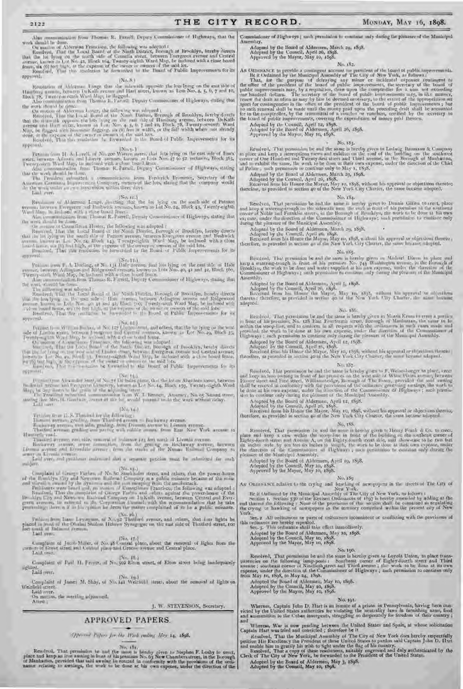### 2122 THE CITY RECORD. MONDAY, MAY 16, 1898.

## .\lso communication frotn Thomas R. Farrell, Deputy Commissioner of Highways, that the

work shealth in dume.<br>
On mailing of Alderman Francisco, the following was adopted :<br>
Generalism in the Santi District, Bernagh at Brocklyn, hereby directs<br>
that the lot lyong on the north side of Corrella street, between approval.

#### (No. S.)

Romantion of Alderman Lange that the milewalk appresite the late lying on the east side of<br>Hamburg arounds, between DeKalls avenue and Hart areet, known as Loss Nos, 4, 5, 6, 7 and 10,<br>Hos k 75, Tweeny severals Ward Map, h

the work should be done.<br>
On motion of Aderman Lange, the following was adequed to<br>
Recolved, That the Land Land of the Nundi District, Berough of Brooklyn, Israely docets<br>
that the transfer operator the lats bring on the

done, at the expense of the owner or owners of the said lots.<br>Resolved, That the resolution he furwarded to the Board of Public Improvements for its

## approval.

Fetulian from H. A Lovell, of No. 200 Wartern meet, that Jobs lying on the east solr of Essex<br>segart, between Admira and Library avenues; known as Lots Nos 47 to 52 metasive, Block 303,<br>Decouvoidd Ward Map, he inclosed wit

that the work should be those.<br>The Treatlent and opportunity a communication from Trederick Browner, Secretary of the<br>American Communication of the lots, stating that the company would<br>de the work under an evening reservat Laid over.

(No. 19.) (No. 19.) (No. 19.) (No. 19.) (Resolution of Alderman Lange, directing that the lot lying on the south side of Putnam avenue, between Evergreen and Harbwick avenues, known as Lot No. 24, Block 43, 'Twenty-eighth'<br>Ward Map, he inclused with a close board fence. Also communication from Thomas K. Farrell, Deputy Commissioner of Highways, stating that the work should be (lone.

The matrice of Councilloran Hester, the following was adopted r<br>Reserved by the search of the Mini- Descript, Romando of Brooklyn, horeby dress<br>than the board of the Minim average, terms we preserve average to Brackwick<br>th approval.

(No.11.)<br>
Petrian nom F. A. Define, of No. 134 Hale arease, that lots lying on the east side of Hale<br>
Twenty and Miller and Ridge see Local communications in 1980, 40, 41 and 47, Block 350,<br>
Twenty south Wank May, Je Inclo

the word, should be done.<br>The integral results of the Ninth District, Bosongia of Booklyn, bondy directs<br>Bosong-di, That the Local Donal of the Ninth District, Bosongia of Booklyn, bondy directs<br>the local prop on the care

Pottion from Million Resident Accided Accided Accided and others, that the lot typing on the west<br>make of Lindin states. Moreover, the inclusion of the state of the state of the state of the states. Twenty-and the policie

 $\label{eq:main} \begin{array}{ll} \text{system of}\\ \text{F}{\tiny{1000}}\text{ F8},\text{188},\\ \text{F}{\tiny{1000}}\text{ F8},\text{188},\\ \text{F}{\tiny{1000}}\text{ F8},\text{188},\\ \text{F}{\tiny{1000}}\text{ F8},\text{188},\\ \text{F}{\tiny{1000}}\text{ F8},\text{188},\\ \text{F}{\tiny{1000}}\text{ F8},\text{188},\\ \text{F}{\tiny{1000}}\text{ F8},\text{188},\\ \text{F}{\tiny{100$ 

### (No. 14.1

Vetican transit. S. Thusand for the following :<br>Dismuss ayenin, graducy, from Thatford avonum to Ricchaway avenum.<br>Rockaway avenum, everyday grading, from Domani avenue to Livnum avenue.<br>Thatford avenum grading and poving

Hunterfly road.

Thanked avenue, east state commonless in historical problem in Liverals avenue.<br>Reacharray systems, sever some then, from the graing on Backsway avenue, between<br>Liveras avenue and Etyerolds systems them the tracks of the N Laid over, and petitioner instructed that a separate petition must be submitted for each

subject.

Complaint of Grange Farber, of No.30, (No.34) and others, that the power-house of the Hundelyn City and Neutrons Italianal Company is a public mission: because of the missional distribution count by the dynamics and the n

Periodic from Lane Levierson, of No.32 Thatford symme, and others, that four lights be<br>placed in Junit of the Ohalad Shidom Hidown Synagraps in the east sale of Thatford street, too<br>hert south of Holmont systems.

(No. 17.)<br>Complaint of Jacob Miller, of No. 48 Central place, about the removal of lights from the<br>corners of Grove street and Central place and Greene avenue and Central place.

corners of head (No. 18.)

Complaint of Paul H. Freyer, of No. 502 Elton street, of Elton street being inadequately lighted. Laid over.

(No. rq.) Complaint of James M. Shay, of No. 141 \\•eirdeld street, about the removal of lights on

\\`eirfreld street. Laid over.

On motion, the meeting adjourned. Attest:

I. W. STEVENSON, Secretary.

#### APPROVED PAPERS,

*Appros1 Jbjcrr Jr the* IL k *en/in " .IJaj' 14,* 1898•

No. 1976. That permission he and the more to beeder given to Stephen F. Leaky to every, place and keep an leve antalog in from of his premise No. 65 New Chambers street, in the Borough of Manhastan, provided that unid awai

Commissioner of Highways ; sach permission to continue only during the pleasure of the Municipal Assembly.

Adopted by the Board of Aldermen, March 2q, 1898. Adopted by the Council, April 26, 1898. Approved by the Mayor, May to, 1398.

No. 182.

As Oktobalized by the Municipal accumulation pre-dental the local of public improvements.<br>Be it Ordained by the Municipal A- embly of The Gity of Now York, as follows,<br>That, for the pre-dent of the board of public improve

Adopted by the Council, April 12, 1898.<br>Adopted by the Board of Aldermen, April 26, 1898.<br>Approved by the Mayor, May 10, 1898.

No. r83.

Resulved, That permission be and the same is hereby given to Ludwig Baumann & Company<br>to place and keep a dereopticon views and exhibits on the cool of the building on the southwest<br>corner of One Hambed and Twenty-hea stre and to exhibit the same, the work to be done at their own expense, under the direction of the Chief<br>of Police ; such permission to continue only to May 1, 1838.

Adopted by the Beard of Aldermen, March 29, 1898.<br>Adopted by the Council, April 26, 1898.<br>Received bon his Homor the Mayon, May ro, 1898, without his approval or objections therefor.<br>therefore, as provided in section 40 of

#### No. 584.

Resolved, That permission be and the same it hereby given to Dennis Gillen to creet, place<br>and keep a watering-rrough on the sidewalk new the enth in mont of his premises at the southerest<br>covier of Noble and Franklin stre during the pleasure of the Municipal Assembly.

Adopted by the Board of Aldermen, March 29, 1898.<br>Adopted by the Cauncil. April 16, 1898.<br>Received man bis Hance the Mayma, May, no, 1898, without his approval or objections therein<br>therefore, as provated in section 40 of

#### No. 185.

Resolved, That permission be and the same is bereity given to Moding Dirm to place and<br>keep a watering-trough in front of his pyratics. No. 745 Washington wome, in the formagh of<br>Typoldson, the work to the long water same Assembly.

Adopted by the Board of Abbruon, April 5, 1898.<br>Adopted by the Council, April 20, 1898.<br>Beceived from his Homor that Mayor, May to, 1898, without his approval we objectly<br>thereton; therefore, as provided in writing 40 of t adopted.

#### No. 186.

Resolved, That permission be and the same is bereby given to Motris Krons to versus a puttion<br>in Bont of his premission, and the Same Fourterman struct, Borough of Manfinitan, the same to be<br>within the stoop-line, and to c

Adopted by the Board of Aldermen, April 12, 1898.<br>Adopted by the Comell, April 26, 1898.<br>Received from his Board the Mayor, Day 10, 1898, without his approval or objections therein.<br>therefore, as provaded in sociality 40 a

No. mS7.

Roodved, That permission be and the intuit is berelay given to F. Weitscharger to place, and keep to 200 ownedg in front of the protocols on the west star of What Plates ayout Plower street and First street, William beidge

Anopted by the Board of Alderman, April 12, 1898.<br>Adopted by the Council, April 26, 1898.<br>Received from his Honor the Mayer, May 10, 1898, vidious his approval or objections thereto;<br>therefore, as provided in section 40 of

No. iSS.

Resolved, That permission is and the same is kereby given to Heary Founk & Co. to creet, place and keep a case within the stoopshire in front of the building on the outfliers corner of Equity-fourth street and Aventury and pleasure of the Municipal Assembly.

Adopted by the Board of Aldermen, April 19, 1898. Adopted by the Council, May to, 1898. Approved by the Mayor, May ,o, 1898.

No. 189

An Ontarsacce relative to the crying and hasching of newspapers in the streets of The City of<br>New York,<br>He is transitional by the Menkingal Assembly of The City of New York, as follows a<br>Section 3 of the Revised Onlinearce

Sec. 2. All ordinances or parts of ordinances inconsistent or conflicting with the provisions of this ordinance are hereby repealed.<br>Sec. 3. This ordinance shall take effect immediately.

Adopted by the Board of Aldermen, May io, 1898. Adopted by the Council, May io, 1898. Approved by the Mayor, May to, 1898.

No. t go.

Resolved, That permission be and the same is bordly given to Loyola Daion, to place trans-<br>parencies on the following lamp-post-1 Southeast corner of Eighty-fourth street and Third<br>avenue : southeast corner of Ninetleth st expense, under the direction of the Commissioner of Highways ; such permission to continue only from May io, 1898, to May 24, iS9S.

Adopted the Board of Aldermen, May lo, 1898. Adopted by the Council, May to, 1898. Approved by the Mayor, May so, 1898.

No. 191.

Whereas, Captain John D. Hart is an inmate of a prison in Pennsylvania, having been con-<br>victed by the United States authorities for violating the neutrality law- in furnishing arms, food<br>and ammunition to the Unban insurg and

'Whereas, War is now pending between the United States and Spain, at whose solicitation Captain Hart was tried and convicted ; therefore be it

Resulved, That the Municipal A - mbly of The City of New York does bereby respectfully<br>petition His Excellency the President of three United States to pardon said Captain John D. Hart<br>and enable him to gratify his wish to

Adopted by the Board of Aldermen, May 3, 5898, Adopted by the Council, May to, 1898•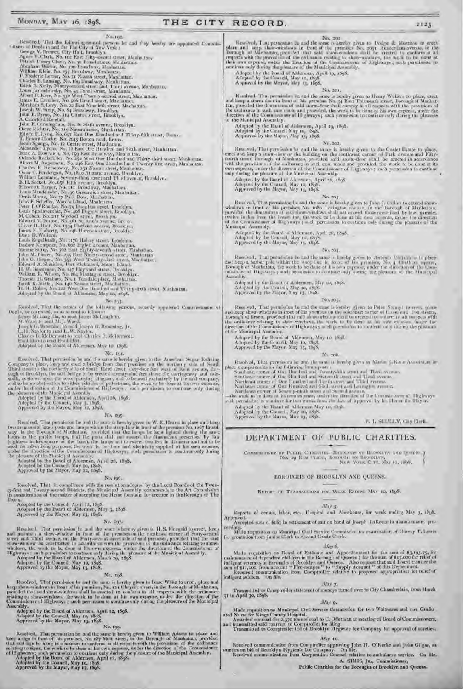#### MONDAY, MAY 16, 1898.

### THE CITY RECORD.

No. 192

No. 1921<br>
No. 1921<br>
No. 1922<br>
visions of Dreeds in and for The City of New York 1<br>
visions of Dreeds in and for The City of New York 1<br>
George V, Environ, City Halt, Breadlyn<br>
Agnes V, Clark, No. 102 Ifset Filty-second st Joseph W, Stray, No. 54 Brasilyny, Hrachlyn, Hendrich British<br>John R. Brasilyn, Achorida Kendali, No. 80 Stali aynus, Rosaliyn, Aphar F. Canadrigan, No. 80 Stali aynus, Rosaliyn, Dikhar J. Canadrigan, No. 80 Stali aynus a

#### $No, 101$

Resolved, That the names of the following persons, recently appointed Commissioners of<br>the be forecast, so as to read as follows:<br>fance McLangblin, to read James McLangblin,<br> $N$ , Ward to read M.J. Ward,<br> $\begin{bmatrix} \text{L} & \text{L}$ 

#### No. 194.

 $\label{eq:1.1}$  Resolved, That permission he and the same is hereby given in the American Sugar Rufining Company to place, long and erect a bridge from their premises on the mortherly side of South Third street, only the mort

No. 195.

Resolved, That permission be not the same type.<br>
Two occanoemial lange posts and lange within the attention for a finally given in W. K. Means in place and lange two occanoemial lange posts and lange within the attention

#### No. 196.

Resolved, That, in compliance with the resolution adopted by the Local Boards of the Twen-<br>ty-first and Twenty-second Districts, the Municipal Assembly recommends to the Art Commission<br>in consideration of the matter of acc lironx.

Adopted by the Council, April 12, 1858.<br>Adopted by the Doard of Aldermen, May 3, 1858.<br>Approved by the Mayor, May 13, 1858.

#### No. 197-

Resolved, Flast permission be and the same is kevelby given to H.S. Finegold to creet, keep and maintain a show-window in front of the premises on the main server and Third avenue, on the Futy-second arecent and a radi pr

No. 108.

Resolved, That permission be and the same is hereby given in Isaac White to creet, place and<br>keep show-windows in front of his premises, No. 124 Chrystie street, in the Borough of Manhattan,<br>provided that said show-windows relating to show-windows, the work to be done at his own expense, under the direction of the Commission of the Assembly,<br>Adopted by the Board of Aldermen, April 12, 1898.<br>Adopted by the Council, May 10, 1898.<br>Approved by the Mayor, May 13, 1898.

No. 199.

Resolved, That permission be and the same is hereby given to William Adams to place and keep a sign in front of his premises. No. 187 Mott street, in the Borough of Manhattan, provided that and  $\hat{\mathbf{s}}_2$  to being is a m

No. 200 Resulted, That permanant is and the same is hereby given to Design & Motrison in erect, place and large show-nindows in front of the premises No. 2031 Austerdam avenue, in the largest of Manhattan, provided that said show-

Adopted by the Board of Addermen, April 19, 1598.<br>Adopted by the Council, May 10, 1898.<br>Approved by the Mayor, May 13, 1898.

#### No. 201.

Nusalved, That permission in and the same is hereby given to Heary Wolfers to place, creet<br>and keep a storm short in front of his premises No. 44 East Thirteenth attest, Borough of Manhattan, provided the dimensions of sai of the Municipal Assembly.

Adopted by the Board of Aldmonen, April 19, 1898.<br>Adopted by the Council May 10, 1898.<br>Approved by the Mayor, May 13, 1898.

#### No. 202.

Resolved, That permission be and the tame is hereby given to the Goolet Estate to place, erect and keep a soun-loot on the building on the contravest corner of Vark avenue and Finy-fourth street, Burnagh of Manhattan, pro

Adopted by the Board of Alderman, April 26, 1898.<br>Adopted by the Council, May 10, 1895.<br>Approved by the Mayar, May 12, 1898.

No. 203.

Resolved, That permission be and the same is bereby given to John J. Collies to extend show-<br>windows in treat or his premises, No. 1986. Lexington avenue, in the Borough of Manhattan,<br>provided the dimensions of said thousw Manaquit Assembly,

Adapted by the Board of Alderman, April 26, 1898.<br>Adapted by the Council, May 13, 1898.<br>Approved by the Mayor, May 13, 1898.

#### Print 2011.

Resolved. That permusion be and the same is berefly given to Antonio Unitation to place and keep a barber pole within the woop line in dood of the promises. No. 4 Unithion square, Borough of Manhattan, the work to be done Assemility.

Adopted by the Brant of Aldermen, May 10, 1898.<br>Adopted by the Council, May 10, 1898.<br>Approved by the Mayor, May 14, 1898.

No. 204.

Resulted, That permostion be and the stane is hereby given to Peter Strongh to ere t, planet keep show windows in tront of his premises on the condition ormer of Home and Text decising Horongh of Brook, provided that and

Adopted by the Board of Aldermen, May 10, 1868.<br>Adopted by the Council, May 10, 1868.<br>Approved by the Mayor, May 13, 1968.

#### No. 200.

- $\label{eq:2} \begin{array}{ll} \text{Fessolved, Thax permission} & \text{E} & \text{Fessive} \\ \text{place $x$-coriparencies} & \text{on the following learning, is} \\ \text{place $x$-coriparencies} & \text{on the following learning,}\\ \text{Southass: corner of the Hamiltonian, Twantysfinite error and That average,}\\ \text{Southass: corner of One Hamiltonian, Twantysfinite error and Then,\\ \text{Southass: corner of One Hamiltonian, Theorem and Theorem,}\\ \text{Northass: corner of One Hamiltonian, which are used.} & \text{Fessive, and Lensogon, we have,}\\ \text{Northass: corner of One Hamiltonian, and Sismal, a vector and Lensogon,$ 
	-
	-

Adopted by the Board of Alderman May to, thill Adopted by the Council, May to, 1898.<br>Approved by the Mayne, May 13, 1898.

F. L. SCULLY, Cay Chris-

DEPARTMENT OF FUBLIC CHARITIES.

ROROUGHS OF BROOKLYN AND QUEENS.

REPORT OF TRANSACTIONS FOR WEDE ENTIRE MAY 10, 1898.

 $M(t) =$ Reports of census, labor, etc., Hospital and Almshouse, for week multing May 3, 1898.

Approved. Accepted sum of \$183 in settlement of anit on bond of Juseph LaRocar in abandomment pro-

ceeding.<br>Made requisition on Manicipal Civil Sarvice Commission for examination of Harvey T. Louis.<br>for promotion from Junior Clerk to Second Grade Clerk.

May 6.

Made requisition on Board of Estimate and Apportionment for the sum of \$3,193.75, for maintenance of dependent children in the Borough of Queens ; for the sum of \$15,000 for relief of indigent veterans in Boroughs of Broo indigent soldiers. On hie-

 $Min 7 -$ 

Transmitted to Comptroller statement of moneys turned over to City Chamberlain, from Murch to April 30, 1898. 31

Afay 9.

Made requisition on Municipal Civil Service Commission for two Waitresses and one Graduated Nurse for Kings County Hospital.<br>Awarded contract for  $x,370$  fone of each to C. Offerman at meeting of Board of Commissioners, a

#### May 10.

Received communication from Comptroller approving John H. O'Rocke and John Gilgar, as ties on bid of Brooklyn Hygienic Ice Company. On file. sureties on bid of Brooklyn Hygienic Ice Company. On file.<br>Received communication from Corporation Connect relative to ambulance service. On file.

A. SIMIS, JR., Cammissioner, Public Charities for the Boroughs of Brooklyn and Queens.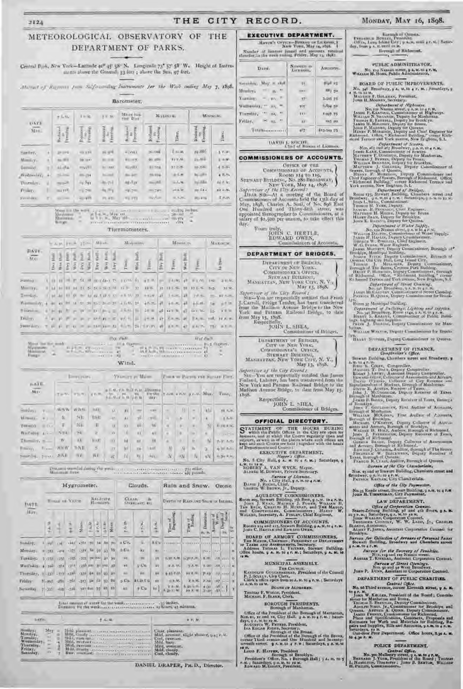#### 2124

### THE CITY RECORD.

### METEOROLOGICAL OBSERVATORY OF THE DEPARTMENT OF PARKS.

Central Park, New York-Latitude 40° 45' 58" N. Longitude 73" 57' 58" W. Height of Tastrus ments above the Granud; 33 feet ; above the Sea, 97 feet.

Altitud of Rayman from Salforcenting Introments for the Wash anding Map 7, 1898.

#### Barometer,

| <b>DATE</b>        |    | # lirth                 | $1 + 36$               | $9.1 - 20.$               | MEAN-ROLL<br>rice Das  |                           | MASINE 41.      |                                    | Minimille. |  |
|--------------------|----|-------------------------|------------------------|---------------------------|------------------------|---------------------------|-----------------|------------------------------------|------------|--|
| $M++$              |    | z<br>ž<br>š             | Realised<br>š<br>$\Xi$ | <b>URIOUS</b><br>Yê,<br>Ì | ÷<br>ëε<br>l'rest<br>ž | и<br>firms<br>Ξ<br>ē<br>ã | <b>Ties</b> ,   | $\frac{10}{5}$ eermag.<br>Redirect | Time       |  |
| Sunline,           | ٠  | provid                  | $-0.039$               | as yet                    | 40993                  | $00 - 000$                | E soan          | 24.886                             | 5 V.W      |  |
| Mimicy.            |    | $-41$                   | 10 links               | --<br>÷                   | 新田市                    | 21.404                    | 11 P.M.         | 25.084                             | a war      |  |
| Turming.           |    | <b>SIVING</b>           | my/m                   | <b>AAC</b>                | $=100X$                | <b>BETHE</b>              | 1125.           | 25,04                              | $4 - 84$   |  |
| $We done with V_L$ | ×, | <b>Salima</b>           | HD (54)                | mill                      | ALL AVE                | minu                      | 85.41           | $26 - 261$                         | 4.35.96    |  |
| Thursday.          |    | $\eta\in\mathbb{R}^d$ . | $-20$                  | 75<br>×                   | Ag.Tax                 | month.                    | $-5.46$         | <b>Noving</b>                      | 49.6 ML    |  |
| Profers.           |    | $10^{14}$ .             | TV 296                 | <b>RUPY</b>               | $= 91244$              | $-74$                     | $_{\text{max}}$ | $20$ fra                           | cities its |  |
| <b>STRAIGE</b>     | R  | $-11 = 10$              | $= 48$                 | PL #91                    | <b>MS 519</b>          | <b>Right and</b>          | $= 3.04$        | 26, 1%                             | E 25.05    |  |



#### Thermometers,

|                                                                                                                                                                                                                                |                   |               |  |    |                                | AM FEB 21-14 Miles |   | Makeman,     |    |      |            | Misein m.        |          |                                                                                | Maximum  |
|--------------------------------------------------------------------------------------------------------------------------------------------------------------------------------------------------------------------------------|-------------------|---------------|--|----|--------------------------------|--------------------|---|--------------|----|------|------------|------------------|----------|--------------------------------------------------------------------------------|----------|
| DATE-<br>MXY                                                                                                                                                                                                                   | <b>Hook</b><br>ŝ. | $\frac{3}{2}$ |  | 夏夏 | $\frac{1}{2}$<br><b>SESESR</b> | inBu               | F | <b>Table</b> | WH | into | 19yy 189HL | $y_{1000\gamma}$ | Wer 1618 | <b>Street</b>                                                                  | la Sture |
| <b>South</b>                                                                                                                                                                                                                   |                   |               |  |    |                                |                    |   |              |    |      |            |                  |          |                                                                                |          |
| Mostly Co.                                                                                                                                                                                                                     |                   |               |  |    |                                |                    |   |              |    |      |            |                  |          | IT BE RETER BE SUBSIDED OF ALL PERSONS IN STRUCK THE RESIDENCE IN A RESIDENCE. |          |
| Tuesday.                                                                                                                                                                                                                       |                   |               |  |    |                                |                    |   |              |    |      |            |                  |          |                                                                                |          |
| We are a most of the selection of the state of the state of the selection of                                                                                                                                                   |                   |               |  |    |                                |                    |   |              |    |      |            |                  |          |                                                                                | $= 1.34$ |
| There are a truck of the contract of the second starts, and contracts of the                                                                                                                                                   |                   |               |  |    |                                |                    |   |              |    |      |            |                  |          |                                                                                |          |
| Trustees                                                                                                                                                                                                                       |                   |               |  |    |                                |                    |   |              |    |      |            |                  |          | The photo is a companied with a later problem of them, refer to make           |          |
| Suppliers. This is the state of the state of the state of the state of the state of the state of the state of the state of the state of the state of the state of the state of the state of the state of the state of the stat |                   |               |  |    |                                |                    |   |              |    |      |            |                  |          |                                                                                |          |

|                                                                          |                                                                                                                                 | <b>TAXA VENTS</b> | <b>Had discite</b>                                                                                                                                                                                                                     |
|--------------------------------------------------------------------------|---------------------------------------------------------------------------------------------------------------------------------|-------------------|----------------------------------------------------------------------------------------------------------------------------------------------------------------------------------------------------------------------------------------|
| Maux list the mosk-<br>Afarmanon.<br><b>Minimum</b><br>m<br><b>THREE</b> | and the last time the degrees of<br><b>State of the State</b><br><b>BULE IN FRANCH</b><br>the Rosson's Miller and Care and Care | Wind.             | $-1111111 - 1 - 1211111$<br>THE PUTS CONTINUOUS ST<br>$11.6 \text{ A}$ $\text{A}$ $\text{B}$ $\text{C}$ $\text{C}$ $\text{C}$ $\text{C}$ $\text{C}$ $\text{C}$ $\text{C}$ $\text{D}$ $\text{D}$ $\text{D}$ $\text{D}$<br>m<br>$\cdots$ |

|                      |               |            | <b>Electric PLANTS</b> |              |                          |                         | <b>VELLET IN MAILER</b> |                                                        |          |       |                         |      | FIRE R PAINTS FOR STATE FIRE. |
|----------------------|---------------|------------|------------------------|--------------|--------------------------|-------------------------|-------------------------|--------------------------------------------------------|----------|-------|-------------------------|------|-------------------------------|
| HATE<br>MAY          |               | $T = V_1$  | <b>IFWALL</b>          | <b>正在 ML</b> | $5.7.9.4 \times 10^{10}$ |                         | <b>LALLAN BULL PLAC</b> | <b>JUGUITE</b><br>DETAIL TWH CONTRACTOR<br><b>SHAY</b> |          |       |                         |      | Tunny.                        |
| $S = 10N +$          | $8 -$         | AVIN W     | WEIN-                  | BALL!        | u.                       | $\mathbf{N}$            | <b>HAN</b>              | 5211                                                   | 133      | n     | $\mathbf{H}$            | W.   | $31 - 34$                     |
| Williams V.          |               | u          | 207                    | <b>Bikk</b>  | $-41$                    | A V                     | Y6                      | $-110$                                                 |          | n.    | $\mathbf{u}$            |      | $8 - 14$                      |
| Toronto k            | $\approx 0.0$ | τ          | NE.                    | ш            | <b>IX</b>                | 0.3                     | 鎖                       | 186                                                    | $\alpha$ | й.    | $\langle \cdot \rangle$ | w    | <b>EDDARK</b>                 |
| Wallsby A --         |               | 5.34       | SL.                    | Ξ            | YY.                      |                         | $z$ <sub>X</sub>        | N                                                      | K)       | Ø.    | <b>Direct</b>           | 80.1 | $i$ and $-i$ with             |
| $T = -y_1$           |               | W.         | 10.                    | HART.        | $-1$                     | $\overline{\mathbf{M}}$ | ar i                    | 88                                                     | ×        | Ü.    | $\lambda$               | w    | <b>EUF AIR</b>                |
| $\mathbb{P}:=\{t\}$  | $E_{\rm{H}}$  | <b>NMW</b> | $N$ II                 | 5            | X                        | 80                      | K4                      | <b>LABIK</b>                                           | 孙        | N     | n.                      | b.   | Artist Autor:                 |
| pattering, paper NAT |               |            | $31 -$                 | WY           | it.                      | 动。                      | lis.                    | $\log_{1}$                                             | N        | $-31$ | - 14                    | sN.  | <b>KIND RAG</b>               |

 $D$  mass is the "lad during the grading  $\alpha$  in a conservation conservation of  $T$  ) within the same limit.

| <b>TIATE</b><br>Mays.                          |              |                                                       | Hygrumeter. |                                    |                                                                                        |  |               |    |                      | Clouds.                              |            | Rain and Snow.<br>Ozone.          |                         |                                   |             |                  |      |  |
|------------------------------------------------|--------------|-------------------------------------------------------|-------------|------------------------------------|----------------------------------------------------------------------------------------|--|---------------|----|----------------------|--------------------------------------|------------|-----------------------------------|-------------------------|-----------------------------------|-------------|------------------|------|--|
|                                                |              | Виллегов.<br><b>Boxes on VARDE</b><br><b>Иншигутс</b> |             |                                    |                                                                                        |  |               |    |                      | à<br>CLEAR.<br><b>LIVER ANYL 4FL</b> |            | DOTH OF RAIS ASD SNOW IS IntiHat. |                         |                                   |             |                  |      |  |
|                                                | $7 - 4 + 36$ |                                                       | ż.<br>ê     | Siene.                             | $\frac{1}{2}\frac{\partial \phi}{\partial \phi} = \frac{\partial \phi}{\partial \phi}$ |  | $\frac{1}{2}$ |    | $\overline{r}$ Ai Bh | 武                                    | 9          | Trone of<br>Begraming             | Time il                 | <b>Meather</b><br>$B_2$ ( $B_3$ ) | 百里<br>ī.    | Jeps<br>採        | Tex. |  |
| Sanday,                                        |              |                                                       | LAST LAST   | JOI 760 34 38 39                   |                                                                                        |  |               |    | 2.07                 | s.                                   | EEW        |                                   |                         |                                   |             |                  |      |  |
| Manday.                                        | 中间期          | $-4.74$                                               | -375        | CITY For 01, 123                   |                                                                                        |  |               | X5 | 8-GW                 | du.                                  | <b>EH</b>  |                                   | $-1.8.1$                | <b>LEASY</b>                      | $-2.291111$ |                  | in.  |  |
| Tuesday                                        | 10001        | ALC:                                                  |             | ALL 425 (247-24) 97, 98            |                                                                                        |  |               |    | 52.1                 | 10                                   | HH.        | 1.99 A.M.                         | <b>FORM</b>             | $A_1 + B_2$                       |             | <b>AMERICA</b>   | i Gi |  |
| Wedfeddy, 4 849                                |              | (158)                                                 | $(2^{n})$   | 2300 million av                    |                                                                                        |  |               |    | iil.                 | antiu.                               | 46         | W.A. M.                           | TA.M. 1.00              |                                   | $-201$      | <b>CELLER RE</b> |      |  |
| Thursday, a -rail -rm +384                     |              |                                                       |             | (332 64 03 03 07                   |                                                                                        |  |               |    | TEL.                 | Vol.                                 | <b>AFC</b> | <b>GATION</b>                     | SERVICE AVE STATES      |                                   |             |                  |      |  |
| Friday                                         | thanh alle   |                                                       | $-101$      | $-313$ $\mu$ $\bar{m}$ $y_2$ $x_3$ |                                                                                        |  |               |    | 5C <sub>2</sub>      | atirtu                               | EW.        | and Ar.                           | 24 ML 2100 107 1-1-1 9  |                                   |             |                  |      |  |
| Saturday, 7 (335) (4/8) -331 -331 for 25 R6 R6 |              |                                                       |             |                                    |                                                                                        |  |               |    | 30                   | $2$ Cu.                              | 10<        | $2.8 - 51 - 1$<br>(20 (C) M.      | 5. go w/full<br>39 X/48 |                                   | $(30 - 18)$ |                  | Ŧ    |  |

### Total impact of water for the week concernance on a significially, finding, the steel concern concernance application problems.

| <b>LATE</b>                                    |         |                                                                                                                                                                                                                                                                                                                                                                                                                        | <b>BUV 33</b> |  |  |  |
|------------------------------------------------|---------|------------------------------------------------------------------------------------------------------------------------------------------------------------------------------------------------------------------------------------------------------------------------------------------------------------------------------------------------------------------------------------------------------------------------|---------------|--|--|--|
| Wednesday<br>Thursday.<br>Frittay<br>Sobinitiv | ×<br>m. | Hill, streeth come surriculation and Clair please.<br>bill), thanky increased a consequence of Mild, prevent, slight shower, ung r. M.<br>State members consumers and consumers Del, comme-<br>Study the family transaction in a secondary contractor<br>Mills become concerned dependence of Mills weight-<br>Mild, Dowley accessorer community of Mild, cloudy,<br>Bay, muniab - Henrichten Britannian Ctol, changy, | Mild, barr    |  |  |  |

| MAVIN'S OFFICE-BIREAD OF LAKENSE, I<br>Number of lighters insert and amounts reteive<br>therefor, in the week uniting Priday, May 15, 18481 | New York, May 14, 1898. |            |
|---------------------------------------------------------------------------------------------------------------------------------------------|-------------------------|------------|
| DAYE.                                                                                                                                       | Nowage on<br>LICERCOL.  | AMILIAN    |
| Saturdary.<br>$Muy \approx 18.8$                                                                                                            | 15.                     | Full 25    |
| $-1$ $M2$<br>Member.                                                                                                                        | <b>CELL</b>             | 883 5u     |
| 19 U<br>Tantiny.                                                                                                                            | 92                      | 3.015, 25  |
| Wellorship, " 11, "                                                                                                                         | TOW                     | 5,634,60   |
| $-111 - 127 - 11$<br>Tommular,                                                                                                              | TEM.                    | FIND 75    |
| <b>H</b> 15. "<br>Friday,                                                                                                                   | 18                      | 335.00     |
| Tutalkonen man                                                                                                                              | 407                     | E13/944 T3 |

#### COMMISSIONERS OF ACCOUNTS.

**CETICE OF THE** COMMISSIONERS OF ACCOUNTS,

COMMISSIONERS OF ACCOUNTS,<br>
ROOMS 114 TO 110,<br>
NEW YORK, May 14, 1898.<br>
Supervisor of the Blue Commission<br>
New York, May 14, 1898.<br>
Supervisor of the Board of the Board of<br>
Ummission-of Accounts held the 12th day of<br>
May, day.

#### DEPARTMENT OF BRIDGES.

DEPARTMENT OF BRIDGE,<br>CITY OF NEW YORK.<br>COMMISSIONER'S OFFICE,  $\begin{array}{c} \textsc{Strwart Section} \\ \textsc{Massustas}, \textsc{New Von: Crv}, \textsc{N}, \textsc{V}, \\ \textsc{May 13}, \textsc{18g8}, \end{array}$ 

Supervisor of the City Revent i from May 15, 1808.<br>Exspectfully,

JOHN L. SIIEA,<br>Commissioner of Bridges, DEPARTMENT OF BRIDGES, CITY OF NEW YORK.<br>COMMISSIONIA'S OFFICE,

STEWART BUILDING, N. V., NANDAYTAN, NEW YORK CITY, N. V., May 13, 1898. Supervisor of the City Record :

Six-You are respectfully notified that James<br>Finland, Laborer, has been transferred from the New York and Patuam Kallmad Bridge to the Madison Avenue Bridge, to that from May 15.  $\begin{minipage}{.4\linewidth} \begin{tabular}{l} \bf{Respectfully.} \\ \bf{10HN}\ & L\_SHEA, \\ \bf{Commissioner of Bridges.} \end{tabular} \end{minipage}$ 1848.

OFFICIAL DIRECTORY. STATEMENT OF THE HOURS DURING Which the Pakis: Offices in the City are agent for higher which the Pakis: Offices in the City are agent for antiquiry, and at the platent where such offices are kept and such courses on Gone

L. M. to 18 M. A. VAN WYCK, Mayor.<br>ROBERT A. VAN WYCK, Mayor.<br>ALPERS M. DOWNEY, Private Surfacery.

 $\begin{array}{c} \textit{Exercise of Linear},\\ \textit{Now} \textit{if } \textit{[1]}, \textit{B} \textit{of } \textit{in} \textit{if } \textit{in},\\ \textit{D} \textit{A} \textit{v} \textit{if } \textit{[1]}, \textit{B} \textit{f}, \textit{if } \textit{in} \textit{if } \textit{in} \textit{if} \\ \textit{G} \textit{inif } \textit{in} \textit{if } \textit{in} \textit{if } \textit{in} \textit{if } \textit{in} \textit{if } \textit{in} \textit{if } \textit{in$ 

AQUE DUCT COMMISSIONERS.<br>
Room 209, Stewart Sauding, 5th floor, g A.W. to 4 P.M.<br>
Just J. Rosse, Magnets J. Power, Woman II. In East Co. Casars J. Power, wood Tan Mayon,<br>
and Concessions, Commissioners, Hanny W.<br>
Watazu,

CUMMISSIONERS OF ACCOUNTS.<br>Rooms 114 and 115, Secret Rudding, 9  $A$ ,  $M$ , 10 4  $E$ ,  $M$ , four C. Huert, and Enware Owen.

BOARD OF ARMORY COMMISSIONERS, THE MAYOR CIRCUPTS IN EXAMINE OF DETAILS AND ASSESSMENTS. SECTION AND IN THE SAME SECTION OF SALES AND CONSTRUCT ON A MAIN CONSTRUCT SECTION OF A MAIN CONSTRUCT OF A MAIN CONSTRUCT SECTION OF

#### MUNICIPAL ASSEMBLY.

For Council.<br>
For Council.<br>
For Council P. J. Scutter, Given Carrier of the Council<br>
P. J. Scutter, Given Carrier of Atlanta is a rest of Saturdays<br>
Christian Carrier Council Council Council Council Council Council Council

Tentias F. Wonns, President,<br>Micrian, F. Brake, Chrk.

BOROUGH PRESIDENTS.<br>
BOROUGH PRESIDENTS.<br>
Concept of the President of the Borough of Manhattan.<br>
Office of the President of the Borough of Manhattan.<br>
Non- co, r, r and rx, City Hall.  $q \pm x$ , to  $q \pm x$ .<br>
Accousing a Accou

13.<br>Louis F. Havras, President<br>Louis F. Havras, President<br>Persident's Office, No. 1 Berough Hall ( ) A. a. to 5<br>Lowano M. Graery, President.<br>Enwano M. Graery, President.

Central Office.<br>
No. 350 Mulberry attest, 7 A. M. 10 4 P. M.<br>
RENNARD J. Yone, President of the Board : Tuntas<br>
L. HAMILTIN, Treasurer : Jonn B. SERTON, WILLING.<br>
H. Punars, Commissioners.

### MONDAY, MAY 16, 1898.

 $\begin{array}{c} \textbf{Fermation} & \textbf{Normal} \\ \textbf{100} & \textbf{100} & \textbf{100} \\ \textbf{100} & \textbf{100} & \textbf{100} \\ \textbf{100} & \textbf{100} & \textbf{100} \\ \textbf{100} & \textbf{100} & \textbf{100} \\ \textbf{100} & \textbf{100} & \textbf{100} \\ \textbf{1000} & \textbf{100} & \textbf{100} \\ \textbf{1000} & \textbf{1000} & \textbf{1000} \\ \textbf{$ Barnigh of Quants. Report of Richmond,

PUBLIC ADMINISTRATOR. No. 179 Namen street, 9 A, M, th 4 F, M, Wamast M, Hors, Public Administrator,

BOARD OF PUBLIC IMPROVEMENTS.

ROARD OF PUBLIC IMPROVEMENTS, No. 140 Breadway, 9 A, at to 4 Y, at a Functions, 9 A, at the 4 Y, at a Functions, Manuscript Into H. Moorev, Secretary, 2001. New Presslett, 2001. New P. Kastron China Secretary, 2001. New P

 $\label{eq:20} \begin{array}{ll} \textbf{Ricliminal Paulbing,} & \textbf{energy. Relational Terrase and } \\ \textbf{Var} & \textbf{Picliminal,} \\ \textbf{Piclimimal,} & \textbf{Picidental}, \\ \textbf{Piclimal,} & \textbf{Picidental}, \\ \textbf{Piclimal,} & \textbf{Picidental}, \\ \textbf{Piclimal,} & \textbf{Picidental}, \\ \textbf{Piclimal,} & \textbf{Picidental}, \\ \textbf{Piclimal,} & \textbf{Picidental}, \\ \textbf{Piclimal,} & \textbf{Picidental}, \\ \textbf{Piclimal,} & \text$ 

 $\begin{array}{ll} \mathop{\mathcal{U}\!\mathit{on}}\nolimits_{\mathcal{M}} & \mathop{\mathcal{U}\!\mathit{on}}\nolimits_{\mathcal{M}} & \mathop{\mathcal{U}\!\mathit{on}}\nolimits_{\mathcal{M}} & \mathop{\mathcal{U}\!\mathit{on}}\nolimits_{\mathcal{M}} \end{array} \begin{array}{ll} \mathop{\mathcal{U}\!\mathit{on}}\nolimits_{\mathcal{M}} & \mathop{\mathcal{U}\!\mathit{in}}\nolimits_{\mathcal{M}} & \mathop{\mathcal{U}\!\mathit{in}}\nolimits_{\mathcal{M}} & \mathop{\mathcal{U}\!\mathit{$ lags, tagtamp and Sapplies.<br>Pares J. Doctive, Deputy Commissioner for Man-

future.<br>With an Withres, Republic Commissioner for Brank-

Vit. HERRY SUTTING, Deputy Commercious or Queens.

DEPARTMENT OF FINANCE.<br>Complexiler's Office,

Sewart Building, Chambers areet and Broadway, a

Construction's Office, Construction's Construction's A.M. We are the Minimidian Minimidian.<br>
Minimidian T. Half of Deputy Computedist.<br>
Minimidian T. Half of Deputy Computedist.<br>
Excess J. Lawing A.M. Deputy Computedist.<br>

Bureau of the City Chamberlain.<br>His, ey and or Stewart Building, Chambers strest and<br>Irondway, o A. H. to to the M.<br>PATRON Karness, City Chamberlain,

Office of the City Paymaster.

ß,

#### No. 13 Reade atrest, Stewart Building, 9 A.M. to 4 F.M.<br>Jouly H. TranscearAv, City Paymasser, LAW DEPARTMENT.

Contraction Comments Comments (State of Corporation Comments)<br>States (State of the State of the State of the State of the State of the State of Contract<br>Janus Westerland, Corporation Converts, Inc. Concerns Contract<br>Terror

Brasny, American, American Corporation Counsel for Atsent F. Junes, American Corporation Counsel for Brooklyn.

Bureau for Collection of Arrears of Personal Janes<br>Stewart Building, Ureadway and Chambers speet<br>5 A.M. 10 4 F.M.

**Bureau for the Recrease of Penaltist.**<br>Non-vig-and two Nassau street.<br>Austan T. Kirnbold, Assental Corporation Cornect.

Bureau of Street Openings.

Jone P. Drow, Assistant to Corporation Counsel. DEPARTMENT OF PUBLIC CHARITIES.

Central Office.<br>No. 66 Third avenue, corner Eleventh street, y A. M.

No. 56 Third avenue, comer Eleventh attest, y A. M.<br>
to 47. M.<br>
1980 W. Kenner, President of the Board; Commissioner for Manhatan and Ilvens, Theorem Starter and Henry, Commissioner.<br>
Theorem Starter, Commissioner for Exc

POLICE DEPARTMENT.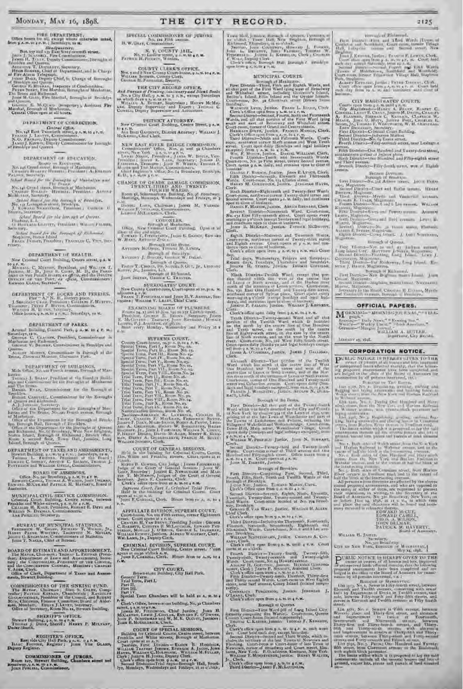#### FIRE DEPARTMENT. Office hears for all, except where scherwise unted, from g.e.m. or av, at, Samminyo, as at,

 $\begin{minipage}[t]{.75\textwidth}\begin{minipage}[t]{.75\textwidth}\begin{minipage}[t]{.75\textwidth}\begin{minipage}[t]{.75\textwidth}\begin{minipage}[t]{.75\textwidth}\begin{minipage}[t]{.75\textwidth}\begin{minipage}[t]{.75\textwidth}\begin{minipage}[t]{.75\textwidth}\begin{minipage}[t]{.75\textwidth}\begin{minipage}[t]{.75\textwidth}\begin{minipage}[t]{.75\textwidth}\begin{minipage}[t]{.75\textwidth}\begin{minipage}[t]{.75\textwidth}\begin{minipage}[t]{.75\textwidth}\begin{minipage}[t]{.$ 

#### DEPARTMENT OF CORRECTION.

 $\begin{tabular}{l|c|c|c|c|c} \hline & \multicolumn{3}{|c|}{\textbf{Cartail }G\&\textbf{lin},}\\ \hline \textbf{Non,L1} & \multicolumn{2}{|c|}{\textbf{Cartial }G\&\textbf{lin},}\\ \hline \textbf{1}_{\textbf{NonCL1}} & \multicolumn{2}{|c|}{\textbf{L1}} & \multicolumn{2}{|c|}{\textbf{Cartial }G\&\textbf{lin},}\\ \hline \textbf{1}_{\textbf{NonCL1}} & \multicolumn{2}{|c|}{\textbf{L2}} & \multicolumn{2}{|c|}{\textbf{C}} & \multicolumn{2}{|c|$ 

DEPARTMENT OF RIVENTION.

 $\begin{tabular}{c} & No. set $ or Reconorm, \\ & No. set $G$ is not a vector $R$ is a matrix for $M$ and $X$ is a matrix for $M$ and $X$ is a matrix $X$ and $X$ is a matrix $X$ and $X$ is a matrix $X$ and $X$ and $X$ are a matrix $X$ and $X$ and $X$ are a matrix $X$ and $X$ and $X$ are a matrix $X$ and $X$ and $X$ are a matrix $X$ and $X$ and $X$ are a matrix $X$ and $X$ and $X$ are a matrix $X$ and $X$ and $X$ are a matrix $X$ and $X$ and $X$ are a matrix $X$ and $X$ and $X$ are a matrix $X$ and $X$ and $X$ are a matrix $X$ 

Parameter Secretary,  $\frac{1}{T}$  for the parameter of Manhattan and  $\frac{T}{T}$  for the parameter of Manhattan and Statistical Constitution, Howards at Manhattan, Anturop Manhattan, Statistical Constitution, Statistical Consti

Gebral Board for the lawyigh of Queens.<br>Tradition, L. Harrison Governo, Pendilant (Without Province,<br>Secondary.

DEPARTMENT OF HEALTH.

retary.

New Criminal Court Building, Centre street, 9 A. M. to 4,6, M. C. Myanuv, Freddent, and Written T. Meaning, M. D., Has Franchist, M. D., die Franchister of var Paate Hunan, ex $\partial \overline{\rho}$ cia, and the Franchister of var Paate Hunan, ex $\partial \overline{\rho}$ cia, Commissioners Cassass Catt

DEPARTMENT OF LOCKS AND FERRILS, J. Suscession Cher " A." N. E., Extery place,  $Y$  . Measure,  $\Gamma$  . Measure,  $\Gamma$  . Measure,  $\Gamma$  . Measure,  $\Gamma$  . Measure,  $\Gamma$  . Measure,  $\Gamma$  . Measure,  $\Gamma$ . Measure,  $\Gamma$ . Measure,

#### DEPARTMENT OF PARKS.

Arsenal Balloling, Control Park, p A.M. to c P. M.; According to the Party of A. Society of the State Street, Commissioner in Manham of Contract Contract Contract Contract Contract Contract Contract Contract Contract Contract Contract Contract Contract Contract Contract Con  $\mathbf{L}_{\text{ADRIS}}$  . Morrow, Canonically in Barnigh of the Breez, Zierwan Marson, Claremont Park,

### DEPARTMENT OF BUILDINGS.<br>Main Office: No. 250 Fourth France, Diving & of Mas-

Main Office, 20, and Number of the Boyses of the Transmith Theorem Theorem Theorem Theorem Theorem The Transmith of the Harvard of the Boyses of The Henry The Henry December of the Boyses of the Boyses of the Boyses of th

DEPARTMENT OF TAXES AND ASSESSMENTS. Stawart Building, 5 A. 8410 4 F. 843 Datardays, 19 8.<br>Tanasan I. - Fatroni, Provinci of the Board<br>Enwance Someony, America G. Satarda, Thomas J.<br>Parramos and Walliam Gentle, Commissiones.

Assessment

 $\begin{tabular}{l|c|c|c|c|c} \hline \multicolumn{3}{c}{RUREAL OF MUNICITAL STATISITCS}, \multicolumn{3}{c}{\textbf{F}}\hline \multicolumn{3}{c}{\textbf{F}}\hline \multicolumn{3}{c}{\textbf{F}}\hline \multicolumn{3}{c}{\textbf{F}}\hline \multicolumn{3}{c}{\textbf{F}}\hline \multicolumn{3}{c}{\textbf{F}}\hline \multicolumn{3}{c}{\textbf{F}}\hline \multicolumn{3}{c}{\textbf{F}}\hline \multicolumn{3}{c}{\textbf{F}}\hline \multicolumn{3}{c}{\textbf{$ 

ROARD OF ISTIMATE AND AFFORTIONMENT. The MAVes, Chairman Transac L. Ferrows (President, Department of Las a and Assessment), Secretary the Concentration, Francisco and the Concentration Continues, Manuferty Chranical and t and the Courtestrum Countain, Members : Chautain V. Anan, Clerk, Department of Taxes and Assessments, Stewart Building.

COMMISSIONERS OF THE SINKING FUND. The MAYAR, Chairman , Bism S. Contra, Comparation , The transformation , Readers of the Lyannel Gaussian , Readers in the Gaussian of Alders and Roman , Finance Commutics, the and Alders and Municipal and Roman , Finance C

#### SHERIFF'S OFFICE.

Stewart Collting, 9 a. M. to 4 b.M.<br>Thomas J. Dines, Sheriff; Hustey P. Mutyany,<br>Under Sheriff,

REGISTER'S OFFICE, RANGER AND HART FROMME, Register; JOHN VON GLARN, Departy Register; JOHN VON GLARN,

COMMISSIONER OF JURORS, Room 197, Stewart Building, Chambers street and Broadway, N.M. 194 r. M. Commissioner,

SPICIAL COMMISSIONER OF JURORS  $B\alpha$  are F00 assess.  $B$  . W. Gasav, Commissioner,

THE CITY RECORD.

 $\begin{array}{c} \text{N. V. COMENTV JAIL}\\ \text{New T. Hall} = \text{M. W. U. A.} \times \text{M. A.} \\ \text{P. P. C. P. C. V. M. A.} \end{array}$ 

**COUNTY CLERKS OFFICE.**<br>Nes, 1 and B New County Court-house, a A., Wittian Someth, Crossly Clerk,<br>Gaussia H. Familian, Departy. OA.M. to a r. M.

THE CITY REGURD OFFICE.

And Durant of Printing, Stationery and Bornt Books.<br>No. 3 City that, q A. st. to x is, n, a scept Structure on which days a state of Minister on the Minister of Minister Control of Minister Control and Report in Thomas C.<br>

**IMSTRICT ATTORNEY.** New Creminal Court Bending, Centre Street, p.s.w. to a r. 16.<br>Ana Bhun Gaonaice, District Attorney ; Witatast J.<br>McKessoa, Chof Clerk.

NEW EAST RIVER ERIDGE COMMISSION, Commissioners' Office, Nos. ay and  $\chi_i$  Chambers (tree), Naw York, a Association of the March Commission of the Direct Property: Jensey Direct Property: Jensey B. Commission of the Land

 $\begin{tabular}{l|c|c|c|c|c} \hline \textbf{CHAIGE} & \textbf{OF} & \textbf{GWAICL} & \textbf{COMMISSION} \\ \hline \textbf{TWENRT-THIMD} & \textbf{AND} & \textbf{TWENIT} \\ \hline \textbf{Room} & \textbf{S1}, & \textbf{FOLGTH} & \textbf{WABDE} \\ \hline \textbf{Room} & \textbf{S2}, & \textbf{SI} & \textbf{RIGB} & \textbf{BOMBDE} \\ \hline \textbf{Merming} & \textbf{Mumang} & \textbf{BOMBDE} & \textbf{N0}, & \textbf{S2},$ - Desire Loro, Chiliman; Jaama M. Vanada<br>Waxaali J. Strooma, Commissimere<br>Lanton Millandanes, Chili, W.

 $\begin{tabular}{c} \multicolumn{1}{l|}{\textbf{C}O(100)EES},\\ \multicolumn{1}{l|}{\textbf{U}B\cap\mathbf{G}}&\multicolumn{1}{l|}{\textbf{H}B\cap\mathbf{H}B\cap\mathbf{H}B\cap\mathbf{H}B\cap\mathbf{H}B}}\\ \multicolumn{1}{l|}{\textbf{U}B\cap\mathbf{G}}&\multicolumn{1}{l|}{\textbf{U}B\cap\mathbf{G}}&\multicolumn{1}{l|}{\textbf{U}B\cap\mathbf{G}}&\multicolumn{1}{l|}{\textbf{U}B\cap\mathbf{G}}&\$ 

 $\begin{array}{ll} \text{Birrough of the Brane,}\\ \text{Airrionsy MCDysy, T=0.000 F, N=0.95\%\\ \text{Birrough of density,}\\ \text{Airrionsy f, B=oldy, B=0.49, W, B=0.41,} \end{array}$ 

Descript of Queens,<br>
United Vietnams, Dr. Sacroma S. Ge v. Jr., Lincolne<br>
Rowry, Jr., Jamese, L., L.<br>
Jamese, L., Lincolne<br>
Jamese, Gamman G. Tenerati,<br>
James Sanyant, Gamma G. Tenerati,

SURROGATES' COURT.<br>New County Courtebours, Court opens at 10, 30 A. W. Sports & P. B. First prints and Journals of Departs of the Bicheller Press of The Pressure of States Clark.

EXAMINING BLARKE OF PLUMBLES. Records that a straight  $\mathcal{O}(\log n)$  and  $\mathcal{O}(\log n)$  and  $\mathcal{O}(\log n)$  . Therefore, the straight of the straight of the straight of the straight of the straight of the straight of the straigh

SUPREMIC COURT,<br>
County Court-line, raip with a ray of the Special Terms, Part L., Roum No. 15,<br>
Special Terms, Part LL, Roum No. 15,<br>
Special Terms, Part LL, Roum No. 15,<br>
Special Terms, Part VI, Roum No. 31,<br>
Special Te SUPREME COURT,

Where Court Control and Translate Court Court Court Court Court Court Court Court Court Court Court Court Court Court Court Court Court Court Court Court Court Court Court Court Court Court Court Court Court Court Court Co

terre al escapa de lei.<br>Joses F. Calenosti, Clerk. Brazis from roca, al, to a

APPELLATE DIVISION, SUPREME COURT,

Arenaldon No. 11 Fith avenue, corner Rightsenth<br>Court-bonne No. 11 Fith avenue, corner Rightsenth<br>Consults: Universe R. McLacoucus, Presiding Justice ; Guaene<br>C. Bannarry, Current R. McLacoucus, Hawann Party<br>Winnam Renaus,

CHIMINAL DIVISION, SUPREME COURT,<br>New Criminal Court Building, Centre street. Court<br>opens at twice whick as it.<br>June F. Consider, Cirri. Hours from to A.M. to a<br>f. M.

CITY COURT,<br>
Sown-luce Building, City Hall Park,<br>
Ceneral Term.<br>
Trial Term, Fart I,<br>
Part II,<br>
Part II,<br>
Part II,<br>
Part II,<br>
Sectial Term Chambers will be bald to A, M, to 4

Chrk's Office, Iceawn-s(one building, No. 32 Chambers

arest, 9A.W.1047-M.<br>
JAMES M. Francoco, Chief Jastice, Joan H.<br>
McCarrur, Law.se J. Coor.as, Raw.se F. O'Daves,<br>
McCarrur, Law.se F. Coor.as, Raw.seo F. O'Daves,<br>
Joan H. McGon.asuck, Clark.

John Bradislav College Of Street, a KSSHONS, Baldon for Crimesi Courts, Centre street, batween<br>
Franklin, for Crimesi Courts, Centre street, batween<br>
Court symme at to Allie streets, Bosonia Courts, Winton, Jossen, John St

 $\mathrm{Hul}_2$  . The prime community of the second term is the prime of the prime of the prime of the second term is a second term of the second term is a second term of the second term is a second term of the second term is a

2125

timousland Ridmousla

First During Pitts and Third Winds (Drawn of<br>Cordistin and Northinal), Goald come, incuire Vetage<br>(Ref), Lethyran comes and Second struct, New

 $\begin{tabular}{l|c|c|c|c|c} \hline & CITY MAJISTEAATES & COUTTS. \\ \hline \hline \multicolumn{3}{c}{\textbf{Cov1: open from $7$ - $1$ and $1$ - $4$}, $n$, $t$, $Cip\_Adag/step, $t$-11, $n$, $n$}, \\ \hline \multicolumn{2}{c}{\textbf{Cov1:}} & \multicolumn{2}{c}{\textbf{Cov1:}} & \multicolumn{2}{c}{\textbf{Cov1:}} & \multicolumn{2}{c}{\textbf{D}} & \multicolumn{2}{c}{\textbf{D}} & \multicolumn{2}{c}{\textbf{D}} & \mult$ 

avenue, Finlands-One Handred and Twenty-first-street, Finla District-One Handred and Twenty-first-street, Sixth District-Unit Hamilton and Filip-sighth street and Third assumption of Third assumption of the Second District

shear Division<br>Dorough of Brooklyn<br>City Division-Maryle Adime tensor, Jacob Bodyo<br>Mariated -Maryle Adime tensor, Jacob Bodyo

 $\begin{tabular}{l|c|c|c|c} \hline \textbf{First Exercise 1:} & \textbf{for} & \textbf{if} & \textbf{if} & \textbf{if} & \textbf{if} & \textbf{if} & \textbf{if} & \textbf{if} & \textbf{if} & \textbf{if} & \textbf{if} & \textbf{if} & \textbf{if} & \textbf{if} & \textbf{if} & \textbf{if} & \textbf{if} & \textbf{if} & \textbf{if} & \textbf{if} & \textbf{if} & \textbf{if} & \textbf{if} & \textbf{if} & \textbf{if} & \textbf{if} & \textbf{if} & \$ 

Hemsch of Queens.

First District Party of Queens, <br>
First District Corp. More<br>
than the  $n=1$  and  $\alpha$  is<br>
the party of the state of the state of the state of the state of the<br>
Third District First Rectionary, Leg 1shed. Receives J. Third

From District -- New Bog as Scholarshi and District -- New Bog as Scholarshi and District September 25 and District -- September 2014, and District District District District District District District District District D

OFFICIAL PAPERS.  $M^{\alpha_{\rm KNIM}-\alpha_{\rm MUMMMI}$ persanju ka $\pi_{\rm N}$ 

 $\begin{array}{l} \displaystyle \prod_{\substack{\text{przoph,}^n \\ \text{Rraming,} \text{--if } \text{Bads}} \text{Nars}_1^{m,0} \text{ is less than } m \\ \text{Nw=2y=0} \text{ Wesky} \text{Ums} \text{ or } \text{Nw} \\ \text{Germass} \rightarrow \text{Marg} \text{Ums} \text{ or } \text{Marg} \text{ and } \text{Marg} \text{ to } \text{Marg} \text{ to } \text{Marg} \text{ to } \text{Marg} \text{ to } \text{Marg} \text{ to } \text{Marg} \text{ to } \text{Marg} \text{ to } \text$ 

**CORPORATION NOTICE.** 

 $\mathbf{P}^{\text{UBLIC NOTLLE}, 18, 9, \text{FLHUUV CIVEN TO TIR}}_{\text{system}}$  which is positive and in the linear<br>model into a method in the linear and interval interval into the linear<br>line fig. partners is assessments to<br>be founded and interval and

 $\begin{array}{ll} \text{We have H-Jouwer,}\\ \text{We have the identity},\\ \text{We can be used by A.}\\ \text{Cov we Now Yone, B.}\\ \end{array}$ 

 $\overline{\mathbf{P}^{11,01,1C}} \xrightarrow{\text{WME 1C}} \text{NOTIC} \xrightarrow{\text{PS 1C}} \text{NOTIC} \xrightarrow{\text{PS 1C}} \text{NOTIC} \xrightarrow{\text{WME 1C}} \text{NOTIC} \xrightarrow{\text{WME 1C}} \text{NOTIC 1D} \xrightarrow{\text{WME 1C}} \text{NOTIC 2D} \xrightarrow{\text{WME 1C}} \text{P} \xrightarrow{\text{WME 1C}} \text{P} \xrightarrow{\text{WME 1C}} \text{P} \xrightarrow{\text{WME 1C}} \text{P} \xrightarrow{\text{WME 1C}} \text{$ 

Boundary of Maniterries.<br>
Line and Two Boundary of Maniterries.<br>
Herein and Two Breath and Two Connection and Two Boundary and the search and the search and the search of the search one of the search one Pitty-boundary and

strest,  $\frac{1}{2}$  and  $\frac{1}{2}$  and  $\frac{1}{2}$  and  $\frac{1}{2}$  and  $\frac{1}{2}$  and  $\frac{1}{2}$  and  $\frac{1}{2}$  and  $\frac{1}{2}$  and  $\frac{1}{2}$  and  $\frac{1}{2}$  and  $\frac{1}{2}$  and  $\frac{1}{2}$  and  $\frac{1}{2}$  and  $\frac{1}{2}$  and  $\frac{1}{2}$  and  $\frac$ 

th storts, and<br>at Fifty funch

Miguetture.

LISTIANY 19, 1828.

#### MUSTEREAL COURTS.

First District Thomas at Markutzs, Wards, and<br>
19 (that port of the First Wards, post of the First Wards, part of the First Wards and Whitehall street, including Uovernor's Island,<br>
19 (the First Markutz) is the United Sta

Courterono, No. 32 Clarabers are et (Brown Some Building), No. 32 Clarabers are it listes, Clark Chinacopa and Waterston Source Second During and all that portion of the First Ward Wartzenth Wards, and all that portion of

sances<br>Gandan F. Rometu, Jostine, Jeans E. Lyscut, Clark.<br>Fards, Court-mous, No. 124 Einma struct.<br>Janery M. Gottprozen, Jostine, Jeannisa Hayes,<br>Haerry M. Gottprozen, Jostine, Jeannisa Hayes, Wa) Clerk

Clerk, District-Elghttenth and Twenty-first Words<br>
Shart-room, northwest contact Twenty-third street and<br>
Second avertons Court opens and spectrum of the street and<br>
Second avert of the street, and the street of the street

DANDE F. MARTH, Justice. ABLEM BELVARY, Clerk Syventh District, November Ward, Economic response to Nine a participate operator of the system of the state of the system of the system of the limit of the system of the syst

 $\text{Exphth}$  District-Slaterst<br/>h and Tweensth Words, Court-rown, auxtived corner of Twenty-didea street and Equita street three open to clear of policies. At  $j\to\infty$ , and thus three open to clear of<br/>luminous  $\mu$ , a

aw, Load days, Wednesdays, Primys and Saturdays.<br>Return days, Teadays, Thursdays and Saturdays.<br>Joseph H. Synna, Jostica, Thusan Ensugas.<br>Clerk.

Gerta Minik Diatrict-Twelfth Ward, everyt that per tion than the<br>matrix with the weak and the second of the second of the second of the<br>morth of the second contribution of the second result of the second to<br>receive the mo

Clerk's office open daily from p a. st. to 4 r. it. Clerk's office open data temperature and Ward and all their<br>portion of the Twenty-second Ward and all their<br>portion of the Twenty-second which is bounded<br>on the antiboxy the current lines in One formed and Tenth areast, o

ed honey a. M. Co + C. St.<br>James A. O'Gunnan, Justice, James J. Garrican,<br>Clerk.

Clerk.<br>
Clerk, District-That periods of the Twellth<br>
Mard which lies ontified the canter into at West<br>
Unit Hamilton of the canter and we at of the control tensor of the<br>
period is a common of the strate, and it that the

#### Borough of the Bronx.

 $\begin{tabular}{l|c|c|c|c|c} \multicolumn{1}{c}{ \textbf{Boreqit}} & \multicolumn{1}{c}{ \textbf{Boreqit}} & \multicolumn{1}{c}{ \textbf{Boreqit}} & \multicolumn{1}{c}{ \textbf{Boreqit}} & \multicolumn{1}{c}{ \textbf{Borel}} & \multicolumn{1}{c}{ \textbf{Borel}} & \multicolumn{1}{c}{ \textbf{Borel}} & \multicolumn{1}{c}{ \textbf{Borel}} & \multicolumn{1}{c}{ \textbf{Borel}} & \multicolumn{1}{c}{ \textbf{Borel}} & \multicolumn{1}{c}{ \textbf{Borel}} &$ 

 $P_{\rm{M+1}}$  , both sizes of Nederland in the Second and Harbora , which is a size of the size of the size of the size of the size of the size of the size of the size of the size of the size of the size of the size of the Western Detrict - Pearson and Twenty and<br>Second Detrict - Pearson and Twenty and Mary Books and the Mary Indian Pilgy<br>and Direct - Office from the angle of the Antarct Detrict and the<br>Antarct Detrict - Office from the angl

#### Berough of Brooklyn.

For LE Datter Computing First, Second, Third, Fourth, Fifth, Stath, Tenth and Twelfth, Wards of the Manual revolution of Secondary Care (According the Manual revolution of the Circle's Office, Encycledge Circle's Office op

thard Wastis. Court-room located at Nes you Brussland Corner of the Corner of the Corner of the Corner of the Corner of the Corner of the Corner of the Corner of the Corner of the Corner of the Corner of the Corner of the

RABY, Clark, Check, Cheming A, M, and I 4 F.M. Court

opens at an aldeok.<br>
Fourth, Twenty-fourth, Twenty-fills, Fourth District (District Theory-field)<br>
Twenty-sixth, Twenty-seventh and Twenty-sixthd<br>
Wards Court room, No. 14 Hospital access the contraction<br>
wave Armouri II,

rantly,<br>Containing Pominimos, Jostics Jenessian J.<br>O'Least, Clerk.<br>Clerk's often open from q & st in 4 c. M.

Borsugh of Queens

First District-First Word pll of Lang Island City,<br>recently composite first Wards, Court-tend, Queens<br>namy Court-hous District Componicity).<br>"Howes C. Kanner, Junasis Tuestas F. Kannaby,

Thomas C. Kanner, Jummer, Theodor F. Kannann, Clurk, Clurk, Clurk, Contribute and the properties and the properties of the second District and the second District of the second District Second District Second District Sec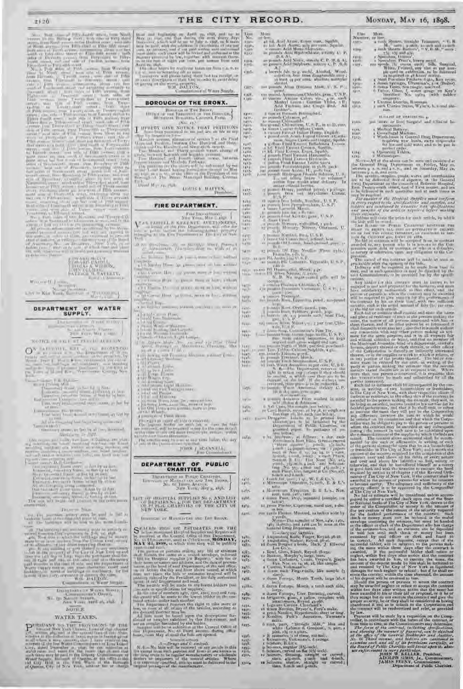22 + 2.0 <br>
Annual distribution of the form function and back of the form of the form of the form of the form of the form of the form of the form of the form of the form of the form of the form of the form of the form of t

**STATE AND** 

 $\label{eq:W} \begin{split} &\mathbf{W}(\mathbf{u}) = \mathbf{w}^\top \mathbf{U}^\top \mathbf{I} - \mathbf{w}^\top \mathbf{u}^\top \\ &\mathbf{u}(\mathbf{v}) = \mathbf{W}(\mathbf{u}) - \mathbf{V}(\mathbf{u}) = \mathbf{u}^\top \mathbf{u}^\top \mathbf{u}^\top \mathbf{u}^\top \mathbf{u}^\top \mathbf{u}^\top \mathbf{u}^\top \mathbf{u}^\top \mathbf{u}^\top \mathbf{u}^\top \mathbf{u}^\top \mathbf{u}^\top \mathbf{u}^\top \mathbf{u}^\top \math$ 

DEPARTMENT OF WATER SUPPLY.  $=$   $N$  and  $=$   $0.000$ 

**Inter**  $a = -1/10$  $\mathbf{z} = \mathbf{v} \cos \phi, \mathbf{W} \sin \phi, \mathbf{u} \sin \phi.$ 

KOTAL OF FAIL STAGED ALLOWS  $\begin{array}{l} \bigodot^{\infty} \xrightarrow{\hspace*{1.5cm}} \xrightarrow{\hspace*{1.5cm}} \xrightarrow{\hspace*{1.5cm}} \xrightarrow{\hspace*{1.5cm}} \xrightarrow{\hspace*{1.5cm}} \xrightarrow{\hspace*{1.5cm}} \xrightarrow{\hspace*{1.5cm}} \xrightarrow{\hspace*{1.5cm}} \xrightarrow{\hspace*{1.5cm}} \xrightarrow{\hspace*{1.5cm}} \xrightarrow{\hspace*{1.5cm}} \xrightarrow{\hspace*{1.5cm}} \xrightarrow{\hspace*{1.5cm}} \xrightarrow{\hspace*{1.5cm}} \xrightarrow{\hspace*{1.5cm}} \xrightarrow{\hspace*{1$  $\begin{picture}(100,10) \put(0,0){\line(1,0){10}} \put(0,0){\line(1,0){10}} \put(0,0){\line(1,0){10}} \put(0,0){\line(1,0){10}} \put(0,0){\line(1,0){10}} \put(0,0){\line(1,0){10}} \put(0,0){\line(1,0){10}} \put(0,0){\line(1,0){10}} \put(0,0){\line(1,0){10}} \put(0,0){\line(1,0){10}} \put(0,0){\line(1,0){10}} \put(0,0){\line(1,0){10}} \put(0$ 

- 
- 
- 

 $\begin{array}{l} \displaystyle \frac{1}{\sqrt{2}} \left[ \begin{array}{cc} \cos \left( \frac{\pi}{2} \right) & \sin \left( \frac{\pi}{2} \right) \\ \cos \left( \frac{\pi}{2} \right) & \sin \left( \frac{\pi}{2} \right) \end{array} \right] \right] \left[ \begin{array}{cc} \sin \left( \frac{\pi}{2} \right) & \sin \left( \frac{\pi}{2} \right) \\ \sin \left( \frac{\pi}{2} \right) & \sin \left( \frac{\pi}{2} \right) \\ \cos \left( \frac{\pi}{2} \right) & \cos \left( \frac{\pi}{2} \right) & \cos \left( \frac{\pi}{$ 

 $\label{eq:3.1} \begin{array}{c} \mathcal{N}=\mathcal{N}(\mathcal{N}(\mathcal{N}(\mathcal{N}(\mathcal{N}(\mathcal{N}(\mathcal{N}(\mathcal{N}(\mathcal{N}(\mathcal{N}(\mathcal{N}(\mathcal{N}(\mathcal{N}(\mathcal{N}(\mathcal{N}(\mathcal{N}(\mathcal{N}(\mathcal{N}(\mathcal{N}(\mathcal{N}(\mathcal{N}(\mathcal{N}(\mathcal{N}(\mathcal{N}(\mathcal{N}(\mathcal{N}(\mathcal{N}(\mathcal{N}(\mathcal{N}(\mathcal{N}(\mathcal{N}(\mathcal{N}(\mathcal{N}$ 

**THEFT SAM** 

**HYSPERATRIA** 

 $\mathcal{C}(t)$  , the positions are<br>for  $\mathcal{C}(t)$  and be full as  $\mathcal{C}(t)$  and the full<br>state  $t$  and  $\mathcal{C}(t)$  . The functions with the results in<br>  $\mathcal{C}(t)$  as an  $\mathcal{C}(t)$  and  $-10$ 

 $\begin{array}{c} \text{Disjointary} \times \mathcal{R} \oplus \text{co} \in \text{Sim}(t),\\ \text{Simorphism} \times \mathcal{O} \oplus \text{co} \, \mathbb{Q}. \end{array}$ No. (p. No. or mount), etc. (no.

### **AUTH F.**

### WATER TAXES.

Hence, and Anglianizer one Aprili and the same sign in Marco and Aprili and the same sharp alary  $\Delta\phi$  and  $\Delta\phi$  and the same sign in the first party of the same sign in the same sign in the same sign in the same sign i

Applying that he provides to be a first one from  $\gamma$  at  $\theta$  , to the three first hermitian of the same set of the same of the same of the same of the same of the same of the same of the same of the same of the same of t Tharms at the WM, DALLON.

ar of Warre Striply.

THE CITY

#### **BOROUCH OF THE BRONX.**

 $\begin{array}{c} \text{Bimarg} \left\{ \begin{array}{lcl} \text{Bimarg} \left( \mathbf{p}_{\text{max}} \right) & \text{Eimarg} \left( \mathbf{p}_{\text{max}} \right) \\ \text{A1 point} & \text{B1 point} \left( \mathbf{p}_{\text{max}} \right) & \text{B1 point} \left( \mathbf{p}_{\text{max}} \right) \\ \text{A2 point} & \text{B1 point} \left( \mathbf{p}_{\text{max}} \right) & \text{A1 point} \left( \mathbf{p}_{\text{max}} \right) \end{array} \end{array} \right) \end{array}$ 

 $\label{eq:1} \underbrace{1\ \text{if } \text{where } \text{c} \text{ is a prime, and } \text{c} \text{ is non-odd, and } \text{c} \text{ is non-odd, and } \text{d} \text{ is non-odd, and } \text{d} \text{ is non-odd, and } \text{d} \text{ is non-odd, and } \text{d} \text{ is non-odd, and } \text{d} \text{ is non-odd, and } \text{d} \text{ is non-odd, and } \text{d} \text{ is non-odd, and } \text{d} \text{ is non-odd, and } \text{d} \text{ is non-odd, and } \text{d} \text{ is non-odd, and } \text{$ 

David May 24, 1980. ADAPTE E. MAPPEN,

#### FIRE DEPARTMENT.

Free Lige stranger.<br>New York, Man Garry,  $\begin{array}{l} \displaystyle \sum_{i=1}^n x_i \in \mathcal{K}(\mathcal{M}(V), \mathcal{M}(V), \mathcal{M}(V)) \cap \mathcal{M}(\mathcal{M}(V)) \\ \displaystyle \sum_{i=1}^n x_i \in \mathcal{M}(\mathcal{M}(V)) \cap \mathcal{M}(\mathcal{M}(V)) \cap \mathcal{M}(\mathcal{M}(V)) \\ \displaystyle \sum_{i=1}^n x_i \in \mathcal{M}(\mathcal{M}(V)) \cap \mathcal{M}(\mathcal{M}(V)) \cap \mathcal{M}(\mathcal{M}(V)) \\ \displaystyle \sum_{i=1}^n x_i \in \mathcal{M}(\math$ 

Actor Specifican North Microsoft Street, Princeton class District House Life painting in the Castle of

- tombolis by these in the case of an loss without the Canar Herr of grows more as herr without Concertive to the commerce learly without onations<br> + 1 (  $T$  miles the  $\gamma$  - at starte as we see from a subset<br>  $\alpha$  -and  $\alpha$
- a las Careas Hindi qui consul, mora de Ess., e Hindi a primer
- argamas.<br>2019 M. Bay Marine, Salama von Jong († 115 mars 20)<br>2019 March 2019 Marine, Salama von Jong († 115 mars 20)
- 
- 
- 
- 1177.<br>
1177. <br>
1187. <br>
1187. <br>
1187. <br>
1187. <br>
1187. <br>
1187. <br>
1187. <br>
1187. <br>
1187. <br>
1187. <br>
1187. <br>
1187. <br>
1187. <br>
1187. <br>
1187. <br>
1187. <br>
1187. <br>
1187. <br>
1187. <br>
1187. <br>
1187. <br>
1187. <br>
1187. <br>
1187. <br>
1187. <br>
1187.
- $\begin{array}{l} \begin{tabular}{l} $100$ & $1000$ & $1000$ & $1000$ \\ \hline 1100$ & $10000$ & $10000$ & $10000$ & $10000$ \\ \hline 1100$ & $10000$ & $10000$ \\ \hline 1100$ & $10000$ & $10000$ \\ \hline 1100$ & $10000$ & $10000$ \\ \hline 1100$ & $10000$ & $10000$ & $10000$ \\ \hline 1100$ & $10000$ & $10000$
- 
- 
- 
- 
- 
- 
- 
- 
- 
- 
- 
- 
- 

JODS FREQUALITY

#### DEPARTMENT OF PUBLIC CHARITIES.

The statement on Postar Construct.<br>As an Massacross on Trees, No. 6 Linux Assoc.<br>New York, May a, 198. **Hower** 

LET OF HUMITAL SUPPLIES Se $j$  AND LIST  $\{i\}$  and  $\{j\}$  and  $\{j\}$  and  $\{j\}$  and  $\{j\}$  and  $\{j\}$  and  $\{j\}$  and  $\{j\}$  and  $\{j\}$  and  $\{j\}$  and  $\{j\}$  and  $\{j\}$  and  $\{j\}$  and  $\{j\}$  and  $\{j\}$  and  $\$ 

Impound by Rawmartan and Eng Banks,

 $\begin{array}{ll} \mathbf{S}^{\text{I-MLL}} & \text{1915--042\_E-TEUMATES-FUR-TEH} \\ \mathbf{S}^{\text{I-ML}} & \text{19--0} & \text{19--0} \\ \text{18--0} & \text{19--0} & \text{19--0} \\ \text{20--0} & \text{20--0} & \text{19--0} \\ \text{30--0} & \text{30--0} & \text{30--0} \\ \text{30--0} & \text{30--0} & \text{30--0} \\ \text{30--0} & \text{30--0} & \text{30--0} \\ \text{30$ 

 $\mathbf{A}\mathbf{A}\mathbf{A}$  and including the particle that they will be particular to the state of the state of the state of the state of the state of the state of the state of the state of the state of the state of the state of

 $\label{eq:1} N, \mathbb{R} \mapsto \mathbb{R} \text{ and } \mathbb{R} \mapsto \mathbb{R} \text{ and } \mathbb{C} \mapsto \mathbb{R} \text{ and } \mathbb{R} \mapsto \mathbb{R} \text{ and } \mathbb{R} \mapsto \mathbb{R} \text{ and } \mathbb{R} \mapsto \mathbb{R} \text{ and } \mathbb{R} \mapsto \mathbb{R} \text{ and } \mathbb{R} \mapsto \mathbb{R} \text{ and } \mathbb{R} \mapsto \mathbb{R} \text{ and } \mathbb{R} \mapsto \mathbb{R} \text{ and } \mathbb{R} \mapsto \math$ 

More than And Agriculture (Squid), and the single space of the single space of the single space of the single space of the space of the space of the space of the space of the space of the space of the space of the space o Mors 1385-**VENA**  $\frac{1}{2}$ LMY.  $\begin{array}{l} \text{F.} \\ \text{F.} \\ \text{F.} \\ \text{F.} \\ \text{F.} \\ \text{F.} \\ \text{F.} \\ \text{F.} \\ \text{F.} \\ \text{F.} \\ \text{F.} \\ \text{F.} \\ \text{F.} \\ \text{F.} \\ \text{F.} \\ \text{F.} \\ \text{F.} \\ \text{F.} \\ \text{F.} \\ \text{F.} \\ \text{F.} \\ \text{F.} \\ \text{F.} \\ \text{F.} \\ \text{F.} \\ \text{F.} \\ \text{F.} \\ \text{F.} \\ \text{F.} \\ \text{F.} \\ \text{$ 1410.<br>1 1 1 1 **Kidde FLAL** 1519  $\frac{100}{N_0}$  $\begin{tabular}{l|c|c|c|c|c} \hline $a_1(1)$ & $a_1(1)$ & $a_2(1)$ & $a_3(1)$ & $a_4(1)$ & $a_5(1)$ & $a_6(1)$ & $a_7(1)$ & $a_8(1)$ & $a_8(1)$ & $a_9(1)$ & $a_9(1)$ & $a_9(1)$ & $a_9(1)$ & $a_9(1)$ & $a_9(1)$ & $a_9(1)$ & $a_9(1)$ & $a_9(1)$ & $a_9(1)$ & $a_9(1)$ & $a_9(1)$ & $a_9(1)$ & $a_9(1)$ & $a_9(1)$$ 

 $\begin{array}{ll} \star & \text{Min} \xrightarrow{\text{max} \xrightarrow{\text{max}}} \text{Exymitsim} \quad \text{for} \quad \pi \cdot \mathbb{L} \cdot \pi, \ \text{Nos} \\ \star & \text{isom} \quad \text{sum} \quad \star \text{or} \quad \star \text{or} \quad \star \text{or} \\ \star & \text{sum} \quad \text{sum} \quad \text{Proj} \quad \text{argrand} \quad \{\text{sumpids} \ \sim \pi \end{array}$ 

12 (1999) for the Capter time, stand size, a doz.

on cards Plaster, Mustand, as before wide by

t dazen Forceps, March, a torch each side,

is mainly as the compact of the three complete with the latter of the process of the complete with a<br>gradient space of the complete with a transition of the complete with<br>a Lagrangian space, the process of the complete spa

 $\alpha$  such parts,  $\alpha$  is the set of the set of the set of the set of the set of the set of the set of the set of the set of the set of the set of the set of the set of the set of the set of the set of the set of the set o

RECORD.

Ve.

**Links** 攍

 $1114$ 

rint.

 $007 -$ 

QW.

**K.Taltit** 

sport<br>Nati

iano.<br>Vento

taily.

**WILL**  $P(0, 0)$ 

raill) **Farm** 

1418. 8414 聯 儒家

鼎

**LOS** 

쁞

Talmi

燃

33.

sale.

**KATH** 

工作店

farn.

tilia.

2.183. 1455.<br>1455.

 $74 - 21$ 7488.

**XEIRAL** 

 $\frac{1180}{1430}$ 

端

**FASS-**

 $v_{ij}$ / $C_i$  $\begin{array}{l} 1197 \\ 1495 \\ 1495 \\ 1995 \\ 1301 \\ 1301 \\ \end{array}$ 

**DOME** 

 $\frac{1373}{3247}$  43

### MONDAY, MAY 16, 1898.

 $\frac{1000}{N \text{mm/s}}$ 

- 
- -
- More and Shares, we<br>calculate Trimones,  $\sim$  V, B  $_{\rm{10}}$  and<br> $\sim$  More and Shares, the<br>size of  $\sim$  V, B  $_{\rm{20}}$  and<br> $\sim$  10  $\sim$  More and<br> $\sim$  10  $\sim$  More<br>and the state of the<br>size of the state of the Savetinal con
- 
- r Uterios Louisias, Ilasonan<br>3 aoist Uterios Sams, Wyarw, Investo Sta-TIMPL.
- IL-LIST OF VERTICITIES AT
- and in<br>ourse or lines] Surgeon and Clinical Instruments  $\begin{tabular}{l|c|c|c} \hline \multicolumn{3}{c}{\textbf{error of length and } 0.00184} & \multicolumn{3}{c}{\textbf{error of length of}} \\ \hline \multicolumn{3}{c}{\textbf{error of length } M} & \multicolumn{3}{c}{\textbf{Number of length of}} \\ \hline \multicolumn{3}{c}{\textbf{1} & \textbf{Complement of length } M} & \multicolumn{3}{c}{\textbf{Number of length of length of length of}} \\ \hline \multicolumn{3}{c}{\textbf{1} & \textbf{Complement of length of length of length of the length of the length of the length of the length of the length of the length of the length of the length of the length of the$
- 
- -
	-

 $1/2$  ;  $\cdots$  and the above can be seen and examined at the Gaussian of the second Dirac Department on Priday, May 26, between a  $\lambda$  and  $\mu$  between a  $\lambda$  and  $\mu$  between a  $\sim$  10  $\pm$  0.1  $\mu$  and  $\sim$  100  $\pm$  0.1

ong he resident the Heideral Sopplies word verform<br>In cross rapper to the avec healthcar and samples, and<br>the cross rapper to the avec healthcar and samples, and<br>need months of the articles respected tofore making

and months of the article regular felter means the photon superior of the bally superior of the side of the set of the bally superior of the set of the set of the set of the set of the set of the set of the set of the set

s and Communister (a) the tree term is the two two two states of the states of the states of the states of the states of the states of the states of the states of the states of the states of the states of the states of th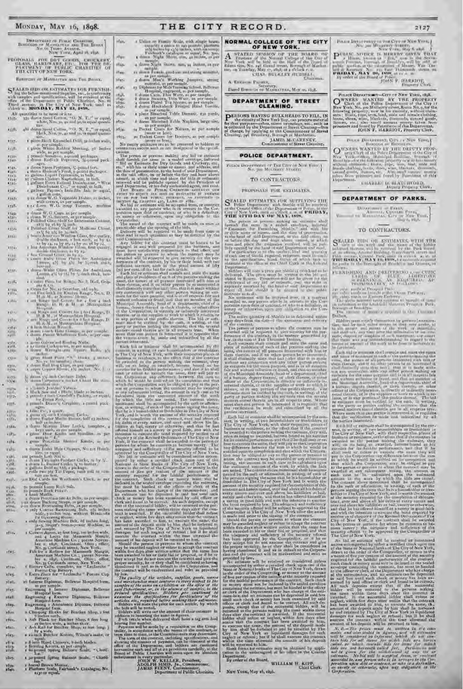| DEFINITION OF FURLE CHASTISE,<br>BOHOUGH OF M.COTATTAN ARE THE BOUR.<br>Хо, го Тицео Аченов.<br>NEW Young, Aged the man.             |   |
|--------------------------------------------------------------------------------------------------------------------------------------|---|
| PROPOSALS FOR DBY GOUDS, ENDERER<br><b>GLASS, HARLWARE, EIV.</b><br><b>FILM</b><br>PARTMENT OF PUBLIC CHAND<br>THE CITY OF NEW YORK. |   |
| BURGUZHS OF MAUBATTAN AND THE BUOKK.                                                                                                 |   |
| C FALED BUS OR ESTIMATES FOR FURNISH                                                                                                 | ı |

 $\Omega$  for the below-mentioned Supplies, one, in understated with angular- and aperifications, will be reserved at the Dispatrian of Philoir Charline, No. 6. That I average of the Litty of Note Vork, undit is objectively MA

rhit.

All quantifies to be noted or least  $\label{eq:11}$  All quantifies to be noted Conton, " O. N. Th<sup>+1</sup> as equal, the  $\sim$  350 doubt from<br>of Conton, " O. N. Th<sup>+1</sup> as equal, the  $\sim$  350 doubt. Nos, so, so and py,<br>in equal quant  $1.10.$ 

r piece Black Enameled Drill, as feches wet . 1557.

r piece Black Enameret (mitter)<br>1 piece White Robber Sterning, 20 Inches<br>2 piece White Robber Sterning, 20 Inches<br>2 pennals Southes, raport probages,<br>2 downt Radisch Pepteurs, 19-pound pack- $1 + \sqrt{2}$ 15m

端

izu.

 $x_{34D}$ 

isil-1540

1556

Lisr.

4 Miles

 $80000$ 

TVH

 $\frac{157}{1000}$ 

**COLE SIL** 

带 燃  $1572.$ 

AWN-

1552. **Tillia** xilic

**TVH** 

獵 12541

tsi/i-

illis. **HEIR** 

ides.

17,846

ides.  $10 + 1$ 

1087.  $1545$ abty.  $10$ affen.

ificzi,

alargu

 $\frac{10}{10}$ 

 $10x$ 10m rijn **ANSI** 

 $\Gamma$ st diesen W. G. komp Turentus, modium s $\frac{\Delta \log n}{n}$  diesen W. G. Gups as per ampli<br/>a $\Gamma$  diesen W. G. Gups as per amplies a per amplies <br/> $\Gamma$  Following Gla $\sim$ Shiff for Instrument Catoner,<br/> $\Gamma$  Politics St

Ж.

 $x_1$  of  $z$ 標準

 $\begin{array}{c} \text{pos } \delta, \text{Un} \\ \text{i. O rate for No. is 5cmbar, old cycle, } \\ \text{i. o. P rate for No. is 5cmbar, data, } \\ \text{ii. d. and b. at 8cmbar, hence, } \\ \text{i. d. and long, and 5cmbar, for $i$ for $i$ for $i$ into } \\ \text{i. d. and b. if $i$ is 30cmbar, and 3cmbar, and } \\ \text{ii. d. d. } \\ \text{iii. d. d. } \\ \text{iv. d. d. } \\ \text{iv. d. } \\ \text{v. d. } \\ \text{v. d. } \\ \text{v. d. } \\ \text{v. d. }$  $\begin{tabular}{l|c|c|c|c|c|c} \hline & Range & D. H. & A. & B. & B. & B. \\ \hline & Range & D. & D. & B. & B. & B. \\ \hline \end{tabular} \begin{tabular}{l|c|c|c|c|c|c} \hline & B. & B. & B. & B. & B. & B. \\ \hline \end{tabular} \begin{tabular}{l|c|c|c|c|c} \hline & B. & B. & B. & B. & B. & B. \\ \hline \end{tabular} \begin{tabular}{l|c|c|c|c} \hline & B. & B. & B. & B. & B. & B. \\ \hline \end{tabular}$ 

 $2.40$ 

 $\frac{1}{2}$  to the column and Roofter, Natis.<br>  $\tau$  to the engle of the column states in the column of the column states.

 $\chi$  and the Point  $\mathcal{P}(\mathcal{S})$  . During  $\chi$  in the  $\chi$  and  $\chi$  is a  $\chi$  -boxed point  $\chi$  -boxed point  $\chi$  -boxed point  $\chi$  -boxed point  $\chi$  -boxed point  $\chi$  -boxed point  $\chi$  -boxed point  $\chi$  -boxed point  $\chi$ 

巡

 $\begin{tabular}{l|c|c|c|c|c} \hline $M_{\rm NLO}=1$ & $M_{\rm NLO}=1$ & $M_{\rm NLO}=1$ & $P_{\rm NLO}=1$ & $P_{\rm NLO}=1$ \\ \hline $X$ & $M_{\rm NLO}=1$ & $M_{\rm NLO}=1$ & $M_{\rm NLO}=1$ & $M_{\rm NLO}=1$ & $M_{\rm NLO}=1$ & $M_{\rm NLO}=1$ & $M_{\rm NLO}=1$ & $M_{\rm NLO}=1$ & $M_{\rm NLO}=1$ & $M_{\rm NLO}=1$ & $M_{\rm NLO}=1$ & $M_{\rm NLO}=1$ & $M_{\rm$ 

a down Index Hate Chopper, No art Hotels

Fins or equal<br>that Soil is a contributed by the contribution of the contrast Carcket, as by M,<br> $\pm$  theory L, Hunter these,  $\chi$  to former,<br> $\pm$  politics Indicate the contrast of the contrast<br> $\pm$  colls Fins plot Tie Cape

 $\begin{array}{l} \mathbf{1} \in \mathcal{A}, \\ \mathbf{1} \in \mathcal{A}, \\ \mathbf{1} \in \mathcal{A}, \\ \mathbf{1} \in \mathcal{A}, \\ \mathbf{1} \in \mathcal{A}, \\ \mathbf{1} \in \mathcal{A}, \\ \mathbf{1} \in \mathcal{A}, \\ \mathbf{1} \in \mathcal{A}, \\ \mathbf{1} \in \mathcal{A}, \\ \mathbf{1} \in \mathcal{A}, \\ \mathbf{1} \in \mathcal{A}, \\ \mathbf{1} \in \mathcal{A}, \\ \mathbf{1} \in \mathcal{A}, \\ \mathbf{1} \in \mathcal{A}, \\ \mathbf$ 

1914 Cards were Watchman's Card, as were spanning<br>to the control of the spanning Rest Salt.<br>
2. points Each Points .<br>
1. points Each Points .<br>
1. control of the spanning Both, as per sample .<br>
1. doesn Heartz, as per samp

Faitery Cells, concrete, as<br>Forma City Battery, <br>Fairs Zincs for "Toclandia" Porais Cop<br>Estingy, <br>It Latern Diplomas, Bellevic Hospital form, <br>as for sample, <br>Nedering, Bellevic Hospital form, as for sample, Nedering, Bell

to Laterno Diplomas, Bellevice Hospital bern,<br>
as per sample.<br>
Engranning 8 Instruct Diplomas, Hellevice<br>
Hispania 8 Instruct Diplomas, Hellevice<br>
Hispania form.<br>
Engranning 3 Antonionese Diploma, Bellevice<br>
Hispania form

a shindh Butcher Knives, Wilson's make, or

 $\pm$  inco Hard Cenews, which blades.<br>Hereing Knives, as per canging a bounded by point  $\approx 1$  and<br> $\pm 1$  and  $\pm 1$ 

1 in both<br>and Spring Halance Scale, "Charlike Inc."<br>2 harrel Brown Moriac, Fairbank's Catalogue, No.<br>3 Plattern Scale, Fairbank's Catalogue, No.<br>4130 or mpal,

r Unlin on Family Scale, with single homes

THE CITY RECORD.

fax.

dige. mis. mes. ings.

oys.

thall.

**THO** 

abst.

 $1050.$ 

as par nonple, ... Naplans, large size,

abea.

1953. - a Pocket Cases for Nature, as per sample<br>
1634. - a Pocket Cases for Nature, as per sample<br>
1635. - as Pocket Cases for Doctors, as per sample<br>
No mapty preferation from the permuted to haloes or<br>
contentation ance

No maply packages at<br>reach terminal to balder are constrained and the point of solar<br>one constrained in the spanned constrained and constrained and constrained and the<br>spanned and the spanned and the spanned and the spann

mode there are the total theorem. When the constraints of the total interaction in the second that the second the second that the second the second that the second the second that the second the second the second that the

ontract will be ertised and reles

anomous it has a movement with the readversised and veloci as provided<br>in the contract will be readversised and veloci as provided<br>by law and merchanistan was contained in the readversion of a move readverse contained in

New York, May 10, 1850.

NORMAL COLLEGE OF THE CITY OF NEW YORK.

2127

POLICE DEPARTMENT-CITY OF NEW YORK, 1898.

POINT EX WANTED BY THE PRODUCTY OF EVERY VAN THE DESCRIPTION OF THE PRODUCTY Cert at the Politic Department of the City at New York, No. no Mailenn street Room No. 9, for the children's street property, over the mass of th

 $\begin{minipage}{.4\linewidth} \textbf{Power} \leftarrow \textbf{Derv} \leftarrow \textbf{Conv} \leftarrow \textbf{Yose}_n \right. \\ \textbf{Bomona} \leftarrow \textbf{Bomona} \leftarrow \textbf{Bomna} \leftarrow \textbf{Sov}_n \leftarrow \textbf{Sov}_n \leftarrow \textbf{Sov}_n \leftarrow \textbf{Sov}_n \leftarrow \textbf{Sov}_n \leftarrow \textbf{Sov}_n \leftarrow \textbf{Sov}_n \leftarrow \textbf{Sov}_n \leftarrow \textbf{Sov}_n \leftarrow \textbf{Sov}_n \leftarrow \textbf{Sov}_n \leftarrow \textbf{Sov}_n \leftarrow \textbf$ 

CHARLE E BLATCHFORD,

FOR SEARCH CONDUCT TO BE THE CARD TO BE THE REAL BETWEEN THE REAL BETWEEN THE REAL BETWEEN THE REAL BETWEEN THE REAL BETWEEN THE REAL BETWEEN THE REAL BETWEEN THE REAL BETWEEN THE REAL BETWEEN THE REAL BETWEEN THE REAL BET

DEPARTMENT OF PARKS.

 $\label{eq:u} \begin{array}{cc} \textsc{Dirac} & \textsc{trunc} & \textsc{trunc} \\ \textsc{trunc} & \textsc{trunc} & \textsc{trunc} \\ \textsc{trunc} & \textsc{trunc} & \textsc{trunc} \\ \textsc{trunc} & \textsc{trunc} & \textsc{trunc} \\ \textsc{trunc} & \textsc{trunc} & \textsc{trunc} \\ \textsc{trunc} & \textsc{trunc} & \textsc{trunc} \end{array}$ 

TO CONTRACTORS.

S KALED THE OR ESTIMATES, WITH THE ESTIMATES OF THE SOLUTION OF THE SOLUTION OF THE SOLUTION OF THE BELL AND THE CONTRACTED OF THE CONTRACTED OF THE CONTRACTED OF THE CONTRACTED OF THE CONTRACTED OF THE CONTRACTED OF THE C

Film around County David David in manch we be at THE RESIAN V ARE VALUE And materials required in the control of the party of the state of the state of the state of the state of the state of the state of the state of the s

PURNISHING AND DELIVERING THE CURRENT OF STREET AND RESIDENCE OF A REGISTRATION OF A REGISTRATION OF A REGISTRATION OF A REGISTRATION OF A REGISTRATION OF A REGISTRATION OF A REGISTRATION OF A REGISTRATION OF A REGISTRATIO

 $\label{eq:2} \begin{array}{ll} \text{Bilders}\textbf{,} & \text{Bilders}\textbf{,}\\ \text{Bilders}\textbf{,} & \text{mass}\textbf{,}\\ \text{the $n$-matrix and $n$-axis,}\\ \text{the $k$-matrix and $n$-matrix are $n$-matrix,}\\ \text{the $k$-matrix and $n$-matrix are $n$-matrix,}\\ \text{the $k$-matrix and $n$-matrix,}\\ \text{the $k$-matrix and $n$-matrix,}\\ \text{the $n$-matrix and $n$-matrix,}\\ \text{the $n$-matrix and $n$-matrix,}\\ \text{the $n$-matrix and $n$-matrix,}\\ \text{the $n$-matrix$ 

Cach today promote shall consider and more the name.

 $\Gamma$  and the matrix of the matrix is a state of the matrix of the matrix of the matrix of the matrix of the matrix of the matrix of the matrix of the matrix of the matrix of the matrix of the matrix of the matrix of the m

The Laty of New York, will be received or providend<br> $N\alpha$  bid are existent of the received or providend<br>and  $\alpha$  is the maximal by differ a cretified clock upon con-<br> $\alpha$  in the critical Mational banks of The City of New

Such cases for money count stay is included in the scale<br>of model of money containing the estimate of the estimate of the estimate<br>for the estimate of the estimate can be different closed as a solid for<br> $\log \log \log n$  and mode

amounts of this deposit with the condition on the color scale of the condition of the condition of the condition of the condition of the condition of the condition of the condition of the condition of the condition of the

inisen troon j<br>Mapartments

 $\begin{array}{ll} \displaystyle{\mathbf{A}}\quad \text{space to} & \text{space to} & \text{true,} \\ \displaystyle{\mathbf{A}}\quad \text{vertex to} & \text{the} \\ \text{Proverse of the Normal College of the Conv of New York, and the held, as the Hall of the liquid to the flow of the Hausch, So, if the field is a field of the flow. \\ \displaystyle{\mathbf{b}}\mathbf{w} \cdot \mathbf{u} \cdot \mathbf{H} \cdot \mathbf{H} \cdot \mathbf{H} \cdot \mathbf{H} \cdot \mathbf{H} \cdot \mathbf{H} \cdot \mathbf{H} \cdot \mathbf{H} \cdot \mathbf{H} \cdot \mathbf{H} \cdot \mathbf{$ 

 $A$ . Esco - Punkk

Dated Home or or MARRATAS, May as 1858.

DEPARTMENT OF STREET<br>CLEANING,

 $\begin{tabular}{|c|c|} \hline \textbf{PE} EESONS\ HAVING: BUL,KHEADS TO FILL, IN\\ \hline \textbf{for that purpose, each for a type of New York Hay, can produce material for collected by the Department of Street Clactions, such as character, student, and character, by applying to the Community. \\ \hline \textbf{G1} = \text{stragg}, \textbf{G2} \textbf{44} \textbf{0} \textbf{0} \textbf{0} \textbf{0} \textbf{0} \textbf{0} \textbf{0} \textbf{0} \textbf{0} \textbf{0} \textbf{0} \textbf{0} \textbf{0} \textbf{0} \textbf{0} \textbf{0} \textbf$ 

POLICE DEPARTMENT.

 $\begin{array}{c} \textbf{Fokica BoxAwrmsse er Fau Erw as New Vowv} \\ \textbf{Noc. gas Moxosow Braster.} \end{array}$ 

#### TO CONTRACTORS.

PROPOSALS FOR ESTIMATES

THE 27TH DAY OF MAA, 1808.<br>
The parts making an estimate the limit of the parts of the parts of the same in a scaled speeches a more in<br>the same in a scaled speeches a more in the formula of the same in<br>the same in a scal

coloursed as the sum a price per statute of a delivered, but define will nate a price per statute of a department, and define will not a state in the state of the state of the state of the state of any latt or estimate, a

 $\lambda$  per author words at Perceptus Parts.<br>  $\label{eq:2} \begin{minipage}[t]{0.9\textwidth} \begin{minipage}[t]{0.9\textwidth} \begin{minipage}[t]{0.9\textwidth} \begin{minipage}[t]{0.9\textwidth} \begin{minipage}[t]{0.9\textwidth} \begin{minipage}[t]{0.9\textwidth} \begin{minipage}[t]{0.9\textwidth} \begin{minipage}[t]{0.9\textwidth} \begin{minipage}[t]{0.9\textwidth} \begin{minipage}[t]{0.9\textwidth} \begin{minipage}[t]{0$ 

warriers and any later in Figure and it is determined by the form of the problem of the problem of the problem of the problem of the problem of the problem of the problem of the problem of the problem of the problem of th more strength there is to its difference in the last result of the strength of the verification in until the strength of the strength of the strength of the strength of the strength of the strength of the strength of the that the verifical<br>inh in made and interaction by all the ratificality in the matrix relation<br>in the state and interaction by the contribution of the City of Sub form<br>is restricted with the secondary of the control of the